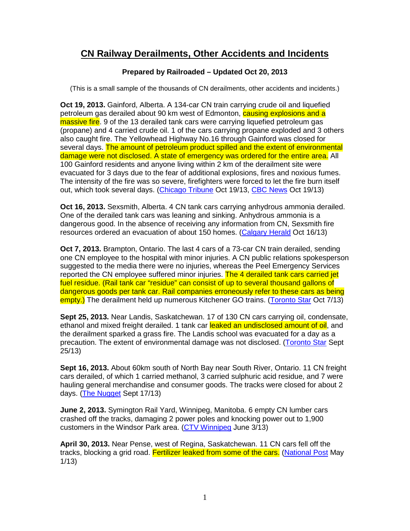## **CN Railway Derailments, Other Accidents and Incidents**

## **Prepared by Railroaded – Updated Oct 20, 2013**

(This is a small sample of the thousands of CN derailments, other accidents and incidents.)

**Oct 19, 2013.** Gainford, Alberta. A 134-car CN train carrying crude oil and liquefied petroleum gas derailed about 90 km west of Edmonton, causing explosions and a massive fire. 9 of the 13 derailed tank cars were carrying liquefied petroleum gas (propane) and 4 carried crude oil. 1 of the cars carrying propane exploded and 3 others also caught fire. The Yellowhead Highway No.16 through Gainford was closed for several days. The amount of petroleum product spilled and the extent of environmental damage were not disclosed. A state of emergency was ordered for the entire area. All 100 Gainford residents and anyone living within 2 km of the derailment site were evacuated for 3 days due to the fear of additional explosions, fires and noxious fumes. The intensity of the fire was so severe, firefighters were forced to let the fire burn itself out, which took several days. (Chicago Tribune Oct 19/13, CBC News Oct 19/13)

**Oct 16, 2013.** Sexsmith, Alberta. 4 CN tank cars carrying anhydrous ammonia derailed. One of the derailed tank cars was leaning and sinking. Anhydrous ammonia is a dangerous good. In the absence of receiving any information from CN, Sexsmith fire resources ordered an evacuation of about 150 homes. (Calgary Herald Oct 16/13)

**Oct 7, 2013.** Brampton, Ontario. The last 4 cars of a 73-car CN train derailed, sending one CN employee to the hospital with minor injuries. A CN public relations spokesperson suggested to the media there were no injuries, whereas the Peel Emergency Services reported the CN employee suffered minor injuries. The 4 derailed tank cars carried jet fuel residue. (Rail tank car "residue" can consist of up to several thousand gallons of dangerous goods per tank car. Rail companies erroneously refer to these cars as being empty.) The derailment held up numerous Kitchener GO trains. (Toronto Star Oct 7/13)

**Sept 25, 2013.** Near Landis, Saskatchewan. 17 of 130 CN cars carrying oil, condensate, ethanol and mixed freight derailed. 1 tank car leaked an undisclosed amount of oil, and the derailment sparked a grass fire. The Landis school was evacuated for a day as a precaution. The extent of environmental damage was not disclosed. (Toronto Star Sept 25/13)

**Sept 16, 2013.** About 60km south of North Bay near South River, Ontario. 11 CN freight cars derailed, of which 1 carried methanol, 3 carried sulphuric acid residue, and 7 were hauling general merchandise and consumer goods. The tracks were closed for about 2 days. (The Nugget Sept 17/13)

**June 2, 2013.** Symington Rail Yard, Winnipeg, Manitoba. 6 empty CN lumber cars crashed off the tracks, damaging 2 power poles and knocking power out to 1,900 customers in the Windsor Park area. (CTV Winnipeg June 3/13)

**April 30, 2013.** Near Pense, west of Regina, Saskatchewan. 11 CN cars fell off the tracks, blocking a grid road. Fertilizer leaked from some of the cars. (National Post May 1/13)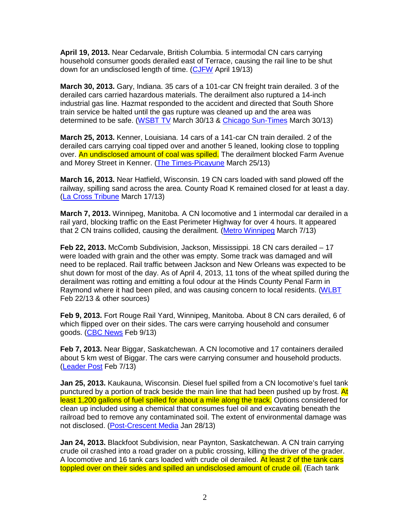**April 19, 2013.** Near Cedarvale, British Columbia. 5 intermodal CN cars carrying household consumer goods derailed east of Terrace, causing the rail line to be shut down for an undisclosed length of time. (CJFW April 19/13)

**March 30, 2013.** Gary, Indiana. 35 cars of a 101-car CN freight train derailed. 3 of the derailed cars carried hazardous materials. The derailment also ruptured a 14-inch industrial gas line. Hazmat responded to the accident and directed that South Shore train service be halted until the gas rupture was cleaned up and the area was determined to be safe. (WSBT TV March 30/13 & Chicago Sun-Times March 30/13)

**March 25, 2013.** Kenner, Louisiana. 14 cars of a 141-car CN train derailed. 2 of the derailed cars carrying coal tipped over and another 5 leaned, looking close to toppling over. An undisclosed amount of coal was spilled. The derailment blocked Farm Avenue and Morey Street in Kenner. (The Times-Picayune March 25/13)

**March 16, 2013.** Near Hatfield, Wisconsin. 19 CN cars loaded with sand plowed off the railway, spilling sand across the area. County Road K remained closed for at least a day. (La Cross Tribune March 17/13)

**March 7, 2013.** Winnipeg, Manitoba. A CN locomotive and 1 intermodal car derailed in a rail yard, blocking traffic on the East Perimeter Highway for over 4 hours. It appeared that 2 CN trains collided, causing the derailment. (Metro Winnipeg March 7/13)

**Feb 22, 2013.** McComb Subdivision, Jackson, Mississippi. 18 CN cars derailed – 17 were loaded with grain and the other was empty. Some track was damaged and will need to be replaced. Rail traffic between Jackson and New Orleans was expected to be shut down for most of the day. As of April 4, 2013, 11 tons of the wheat spilled during the derailment was rotting and emitting a foul odour at the Hinds County Penal Farm in Raymond where it had been piled, and was causing concern to local residents. (WLBT Feb 22/13 & other sources)

**Feb 9, 2013.** Fort Rouge Rail Yard, Winnipeg, Manitoba. About 8 CN cars derailed, 6 of which flipped over on their sides. The cars were carrying household and consumer goods. (CBC News Feb 9/13)

**Feb 7, 2013.** Near Biggar, Saskatchewan. A CN locomotive and 17 containers derailed about 5 km west of Biggar. The cars were carrying consumer and household products. (Leader Post Feb 7/13)

**Jan 25, 2013.** Kaukauna, Wisconsin. Diesel fuel spilled from a CN locomotive's fuel tank punctured by a portion of track beside the main line that had been pushed up by frost. At least 1,200 gallons of fuel spilled for about a mile along the track. Options considered for clean up included using a chemical that consumes fuel oil and excavating beneath the railroad bed to remove any contaminated soil. The extent of environmental damage was not disclosed. (Post-Crescent Media Jan 28/13)

**Jan 24, 2013.** Blackfoot Subdivision, near Paynton, Saskatchewan. A CN train carrying crude oil crashed into a road grader on a public crossing, killing the driver of the grader. A locomotive and 16 tank cars loaded with crude oil derailed. At least 2 of the tank cars toppled over on their sides and spilled an undisclosed amount of crude oil. (Each tank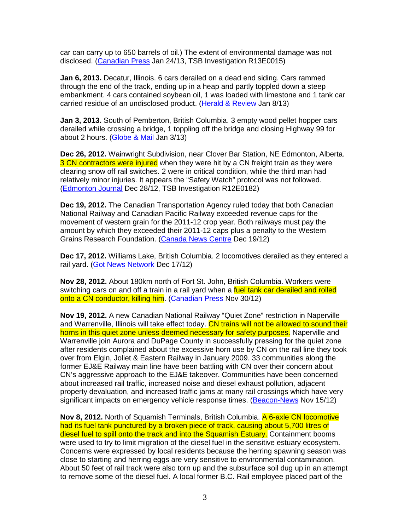car can carry up to 650 barrels of oil.) The extent of environmental damage was not disclosed. (Canadian Press Jan 24/13, TSB Investigation R13E0015)

**Jan 6, 2013.** Decatur, Illinois. 6 cars derailed on a dead end siding. Cars rammed through the end of the track, ending up in a heap and partly toppled down a steep embankment. 4 cars contained soybean oil, 1 was loaded with limestone and 1 tank car carried residue of an undisclosed product. (Herald & Review Jan 8/13)

**Jan 3, 2013.** South of Pemberton, British Columbia. 3 empty wood pellet hopper cars derailed while crossing a bridge, 1 toppling off the bridge and closing Highway 99 for about 2 hours. (Globe & Mail Jan 3/13)

**Dec 26, 2012.** Wainwright Subdivision, near Clover Bar Station, NE Edmonton, Alberta. 3 CN contractors were injured when they were hit by a CN freight train as they were clearing snow off rail switches. 2 were in critical condition, while the third man had relatively minor injuries. It appears the "Safety Watch" protocol was not followed. (Edmonton Journal Dec 28/12, TSB Investigation R12E0182)

**Dec 19, 2012.** The Canadian Transportation Agency ruled today that both Canadian National Railway and Canadian Pacific Railway exceeded revenue caps for the movement of western grain for the 2011-12 crop year. Both railways must pay the amount by which they exceeded their 2011-12 caps plus a penalty to the Western Grains Research Foundation. (Canada News Centre Dec 19/12)

**Dec 17, 2012.** Williams Lake, British Columbia. 2 locomotives derailed as they entered a rail yard. (Got News Network Dec 17/12)

**Nov 28, 2012.** About 180km north of Fort St. John, British Columbia. Workers were switching cars on and off a train in a rail yard when a fuel tank car derailed and rolled onto a CN conductor, killing him. (Canadian Press Nov 30/12)

**Nov 19, 2012.** A new Canadian National Railway "Quiet Zone" restriction in Naperville and Warrenville, Illinois will take effect today. CN trains will not be allowed to sound their horns in this quiet zone unless deemed necessary for safety purposes. Naperville and Warrenville join Aurora and DuPage County in successfully pressing for the quiet zone after residents complained about the excessive horn use by CN on the rail line they took over from Elgin, Joliet & Eastern Railway in January 2009. 33 communities along the former EJ&E Railway main line have been battling with CN over their concern about CN's aggressive approach to the EJ&E takeover. Communities have been concerned about increased rail traffic, increased noise and diesel exhaust pollution, adjacent property devaluation, and increased traffic jams at many rail crossings which have very significant impacts on emergency vehicle response times. (Beacon-News Nov 15/12)

**Nov 8, 2012.** North of Squamish Terminals, British Columbia. A 6-axle CN locomotive had its fuel tank punctured by a broken piece of track, causing about 5,700 litres of diesel fuel to spill onto the track and into the Squamish Estuary. Containment booms were used to try to limit migration of the diesel fuel in the sensitive estuary ecosystem. Concerns were expressed by local residents because the herring spawning season was close to starting and herring eggs are very sensitive to environmental contamination. About 50 feet of rail track were also torn up and the subsurface soil dug up in an attempt to remove some of the diesel fuel. A local former B.C. Rail employee placed part of the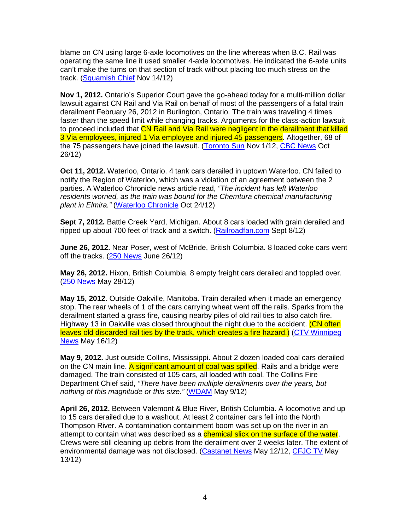blame on CN using large 6-axle locomotives on the line whereas when B.C. Rail was operating the same line it used smaller 4-axle locomotives. He indicated the 6-axle units can't make the turns on that section of track without placing too much stress on the track. (Squamish Chief Nov 14/12)

**Nov 1, 2012.** Ontario's Superior Court gave the go-ahead today for a multi-million dollar lawsuit against CN Rail and Via Rail on behalf of most of the passengers of a fatal train derailment February 26, 2012 in Burlington, Ontario. The train was traveling 4 times faster than the speed limit while changing tracks. Arguments for the class-action lawsuit to proceed included that CN Rail and Via Rail were negligent in the derailment that killed 3 Via employees, injured 1 Via employee and injured 45 passengers. Altogether, 68 of the 75 passengers have joined the lawsuit. (Toronto Sun Nov 1/12, CBC News Oct 26/12)

**Oct 11, 2012.** Waterloo, Ontario. 4 tank cars derailed in uptown Waterloo. CN failed to notify the Region of Waterloo, which was a violation of an agreement between the 2 parties. A Waterloo Chronicle news article read, "The incident has left Waterloo residents worried, as the train was bound for the Chemtura chemical manufacturing plant in Elmira." (Waterloo Chronicle Oct 24/12)

**Sept 7, 2012.** Battle Creek Yard, Michigan. About 8 cars loaded with grain derailed and ripped up about 700 feet of track and a switch. (Railroadfan.com Sept 8/12)

**June 26, 2012.** Near Poser, west of McBride, British Columbia. 8 loaded coke cars went off the tracks. (250 News June 26/12)

**May 26, 2012.** Hixon, British Columbia. 8 empty freight cars derailed and toppled over. (250 News May 28/12)

**May 15, 2012.** Outside Oakville, Manitoba. Train derailed when it made an emergency stop. The rear wheels of 1 of the cars carrying wheat went off the rails. Sparks from the derailment started a grass fire, causing nearby piles of old rail ties to also catch fire. Highway 13 in Oakville was closed throughout the night due to the accident. (CN often leaves old discarded rail ties by the track, which creates a fire hazard.) (CTV Winnipeg News May 16/12)

**May 9, 2012.** Just outside Collins, Mississippi. About 2 dozen loaded coal cars derailed on the CN main line. A significant amount of coal was spilled. Rails and a bridge were damaged. The train consisted of 105 cars, all loaded with coal. The Collins Fire Department Chief said, "There have been multiple derailments over the years, but nothing of this magnitude or this size." (WDAM May 9/12)

**April 26, 2012.** Between Valemont & Blue River, British Columbia. A locomotive and up to 15 cars derailed due to a washout. At least 2 container cars fell into the North Thompson River. A contamination containment boom was set up on the river in an attempt to contain what was described as a *chemical slick on the surface of the water*. Crews were still cleaning up debris from the derailment over 2 weeks later. The extent of environmental damage was not disclosed. (Castanet News May 12/12, CFJC TV May 13/12)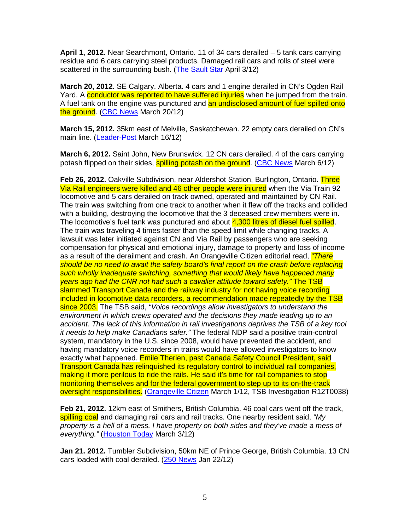**April 1, 2012.** Near Searchmont, Ontario. 11 of 34 cars derailed – 5 tank cars carrying residue and 6 cars carrying steel products. Damaged rail cars and rolls of steel were scattered in the surrounding bush. (The Sault Star April 3/12)

**March 20, 2012.** SE Calgary, Alberta. 4 cars and 1 engine derailed in CN's Ogden Rail Yard. A conductor was reported to have suffered injuries when he jumped from the train. A fuel tank on the engine was punctured and an undisclosed amount of fuel spilled onto the ground. (CBC News March 20/12)

**March 15, 2012.** 35km east of Melville, Saskatchewan. 22 empty cars derailed on CN's main line. (Leader-Post March 16/12)

**March 6, 2012.** Saint John, New Brunswick. 12 CN cars derailed. 4 of the cars carrying potash flipped on their sides, **spilling potash on the ground.** (CBC News March 6/12)

**Feb 26, 2012.** Oakville Subdivision, near Aldershot Station, Burlington, Ontario. Three Via Rail engineers were killed and 46 other people were injured when the Via Train 92 locomotive and 5 cars derailed on track owned, operated and maintained by CN Rail. The train was switching from one track to another when it flew off the tracks and collided with a building, destroying the locomotive that the 3 deceased crew members were in. The locomotive's fuel tank was punctured and about 4,300 litres of diesel fuel spilled. The train was traveling 4 times faster than the speed limit while changing tracks. A lawsuit was later initiated against CN and Via Rail by passengers who are seeking compensation for physical and emotional injury, damage to property and loss of income as a result of the derailment and crash. An Orangeville Citizen editorial read, *"There* should be no need to await the safety board's final report on the crash before replacing such wholly inadequate switching, something that would likely have happened many years ago had the CNR not had such a cavalier attitude toward safety." The TSB slammed Transport Canada and the railway industry for not having voice recording included in locomotive data recorders, a recommendation made repeatedly by the TSB since 2003. The TSB said, "Voice recordings allow investigators to understand the environment in which crews operated and the decisions they made leading up to an accident. The lack of this information in rail investigations deprives the TSB of a key tool it needs to help make Canadians safer." The federal NDP said a positive train-control system, mandatory in the U.S. since 2008, would have prevented the accident, and having mandatory voice recorders in trains would have allowed investigators to know exactly what happened. Emile Therien, past Canada Safety Council President, said Transport Canada has relinquished its regulatory control to individual rail companies, making it more perilous to ride the rails. He said it's time for rail companies to stop monitoring themselves and for the federal government to step up to its on-the-track oversight responsibilities. (Orangeville Citizen March 1/12, TSB Investigation R12T0038)

**Feb 21, 2012.** 12km east of Smithers, British Columbia. 46 coal cars went off the track, spilling coal and damaging rail cars and rail tracks. One nearby resident said, "My property is a hell of a mess. I have property on both sides and they've made a mess of everything." (Houston Today March 3/12)

**Jan 21. 2012.** Tumbler Subdivision, 50km NE of Prince George, British Columbia. 13 CN cars loaded with coal derailed. (250 News Jan 22/12)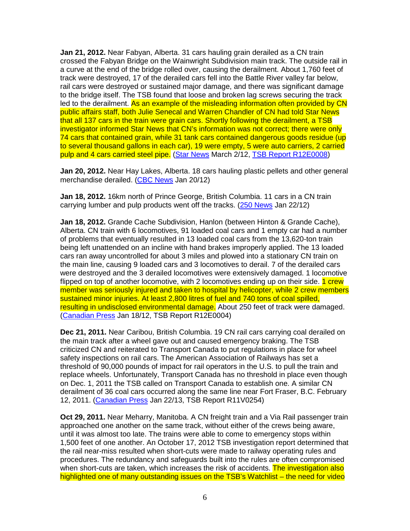**Jan 21, 2012.** Near Fabyan, Alberta. 31 cars hauling grain derailed as a CN train crossed the Fabyan Bridge on the Wainwright Subdivision main track. The outside rail in a curve at the end of the bridge rolled over, causing the derailment. About 1,760 feet of track were destroyed, 17 of the derailed cars fell into the Battle River valley far below, rail cars were destroyed or sustained major damage, and there was significant damage to the bridge itself. The TSB found that loose and broken lag screws securing the track led to the derailment. As an example of the misleading information often provided by CN public affairs staff, both Julie Senecal and Warren Chandler of CN had told Star News that all 137 cars in the train were grain cars. Shortly following the derailment, a TSB investigator informed Star News that CN's information was not correct; there were only 74 cars that contained grain, while 31 tank cars contained dangerous goods residue (up to several thousand gallons in each car), 19 were empty, 5 were auto carriers, 2 carried pulp and 4 cars carried steel pipe. (Star News March 2/12, TSB Report R12E0008)

**Jan 20, 2012.** Near Hay Lakes, Alberta. 18 cars hauling plastic pellets and other general merchandise derailed. (CBC News Jan 20/12)

**Jan 18, 2012.** 16km north of Prince George, British Columbia. 11 cars in a CN train carrying lumber and pulp products went off the tracks. (250 News Jan 22/12)

**Jan 18, 2012.** Grande Cache Subdivision, Hanlon (between Hinton & Grande Cache), Alberta. CN train with 6 locomotives, 91 loaded coal cars and 1 empty car had a number of problems that eventually resulted in 13 loaded coal cars from the 13,620-ton train being left unattended on an incline with hand brakes improperly applied. The 13 loaded cars ran away uncontrolled for about 3 miles and plowed into a stationary CN train on the main line, causing 9 loaded cars and 3 locomotives to derail. 7 of the derailed cars were destroyed and the 3 derailed locomotives were extensively damaged. 1 locomotive flipped on top of another locomotive, with 2 locomotives ending up on their side. 1 crew member was seriously injured and taken to hospital by helicopter, while 2 crew members sustained minor injuries. At least 2,800 litres of fuel and 740 tons of coal spilled, resulting in undisclosed environmental damage. About 250 feet of track were damaged. (Canadian Press Jan 18/12, TSB Report R12E0004)

**Dec 21, 2011.** Near Caribou, British Columbia. 19 CN rail cars carrying coal derailed on the main track after a wheel gave out and caused emergency braking. The TSB criticized CN and reiterated to Transport Canada to put regulations in place for wheel safety inspections on rail cars. The American Association of Railways has set a threshold of 90,000 pounds of impact for rail operators in the U.S. to pull the train and replace wheels. Unfortunately, Transport Canada has no threshold in place even though on Dec. 1, 2011 the TSB called on Transport Canada to establish one. A similar CN derailment of 36 coal cars occurred along the same line near Fort Fraser, B.C. February 12, 2011. (Canadian Press Jan 22/13, TSB Report R11V0254)

**Oct 29, 2011.** Near Meharry, Manitoba. A CN freight train and a Via Rail passenger train approached one another on the same track, without either of the crews being aware, until it was almost too late. The trains were able to come to emergency stops within 1,500 feet of one another. An October 17, 2012 TSB investigation report determined that the rail near-miss resulted when short-cuts were made to railway operating rules and procedures. The redundancy and safeguards built into the rules are often compromised when short-cuts are taken, which increases the risk of accidents. The investigation also highlighted one of many outstanding issues on the TSB's Watchlist – the need for video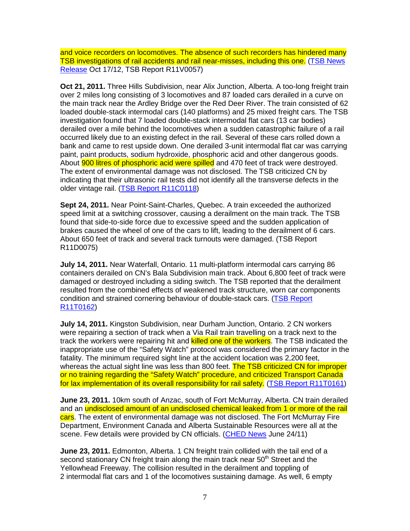and voice recorders on locomotives. The absence of such recorders has hindered many TSB investigations of rail accidents and rail near-misses, including this one. (TSB News Release Oct 17/12, TSB Report R11V0057)

**Oct 21, 2011.** Three Hills Subdivision, near Alix Junction, Alberta. A too-long freight train over 2 miles long consisting of 3 locomotives and 87 loaded cars derailed in a curve on the main track near the Ardley Bridge over the Red Deer River. The train consisted of 62 loaded double-stack intermodal cars (140 platforms) and 25 mixed freight cars. The TSB investigation found that 7 loaded double-stack intermodal flat cars (13 car bodies) derailed over a mile behind the locomotives when a sudden catastrophic failure of a rail occurred likely due to an existing defect in the rail. Several of these cars rolled down a bank and came to rest upside down. One derailed 3-unit intermodal flat car was carrying paint, paint products, sodium hydroxide, phosphoric acid and other dangerous goods. About **900 litres of phosphoric acid were spilled** and 470 feet of track were destroyed. The extent of environmental damage was not disclosed. The TSB criticized CN by indicating that their ultrasonic rail tests did not identify all the transverse defects in the older vintage rail. (TSB Report R11C0118)

**Sept 24, 2011.** Near Point-Saint-Charles, Quebec. A train exceeded the authorized speed limit at a switching crossover, causing a derailment on the main track. The TSB found that side-to-side force due to excessive speed and the sudden application of brakes caused the wheel of one of the cars to lift, leading to the derailment of 6 cars. About 650 feet of track and several track turnouts were damaged. (TSB Report R11D0075)

**July 14, 2011.** Near Waterfall, Ontario. 11 multi-platform intermodal cars carrying 86 containers derailed on CN's Bala Subdivision main track. About 6,800 feet of track were damaged or destroyed including a siding switch. The TSB reported that the derailment resulted from the combined effects of weakened track structure, worn car components condition and strained cornering behaviour of double-stack cars. (TSB Report R11T0162)

**July 14, 2011.** Kingston Subdivision, near Durham Junction, Ontario. 2 CN workers were repairing a section of track when a Via Rail train travelling on a track next to the track the workers were repairing hit and **killed one of the workers**. The TSB indicated the inappropriate use of the "Safety Watch" protocol was considered the primary factor in the fatality. The minimum required sight line at the accident location was 2,200 feet, whereas the actual sight line was less than 800 feet. The TSB criticized CN for improper or no training regarding the "Safety Watch" procedure, and criticized Transport Canada for lax implementation of its overall responsibility for rail safety. (TSB Report R11T0161)

**June 23, 2011.** 10km south of Anzac, south of Fort McMurray, Alberta. CN train derailed and an undisclosed amount of an undisclosed chemical leaked from 1 or more of the rail cars. The extent of environmental damage was not disclosed. The Fort McMurray Fire Department, Environment Canada and Alberta Sustainable Resources were all at the scene. Few details were provided by CN officials. (CHED News June 24/11)

**June 23, 2011.** Edmonton, Alberta. 1 CN freight train collided with the tail end of a second stationary CN freight train along the main track near 50<sup>th</sup> Street and the Yellowhead Freeway. The collision resulted in the derailment and toppling of 2 intermodal flat cars and 1 of the locomotives sustaining damage. As well, 6 empty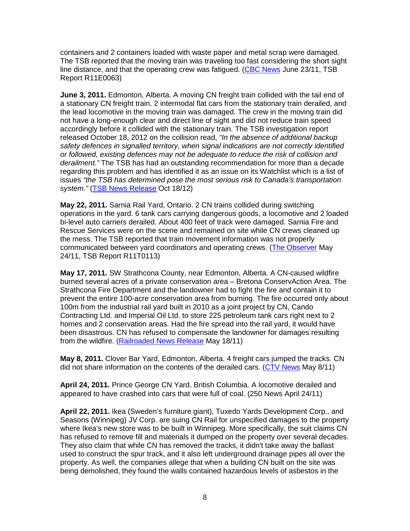containers and 2 containers loaded with waste paper and metal scrap were damaged. The TSB reported that the moving train was traveling too fast considering the short sight line distance, and that the operating crew was fatigued. (CBC News June 23/11, TSB Report R11E0063)

**June 3, 2011.** Edmonton, Alberta. A moving CN freight train collided with the tail end of a stationary CN freight train. 2 intermodal flat cars from the stationary train derailed, and the lead locomotive in the moving train was damaged. The crew in the moving train did not have a long-enough clear and direct line of sight and did not reduce train speed accordingly before it collided with the stationary train. The TSB investigation report released October 18, 2012 on the collision read, "In the absence of additional backup safety defences in signalled territory, when signal indications are not correctly identified or followed, existing defences may not be adequate to reduce the risk of collision and derailment." The TSB has had an outstanding recommendation for more than a decade regarding this problem and has identified it as an issue on its Watchlist which is a list of issues "the TSB has determined pose the most serious risk to Canada's transportation system." (TSB News Release Oct 18/12)

**May 22, 2011.** Sarnia Rail Yard, Ontario. 2 CN trains collided during switching operations in the yard. 6 tank cars carrying dangerous goods, a locomotive and 2 loaded bi-level auto carriers derailed. About 400 feet of track were damaged. Sarnia Fire and Rescue Services were on the scene and remained on site while CN crews cleaned up the mess. The TSB reported that train movement information was not properly communicated between yard coordinators and operating crews. (The Observer May 24/11, TSB Report R11T0113)

**May 17, 2011.** SW Strathcona County, near Edmonton, Alberta. A CN-caused wildfire burned several acres of a private conservation area – Bretona ConservAction Area. The Strathcona Fire Department and the landowner had to fight the fire and contain it to prevent the entire 100-acre conservation area from burning. The fire occurred only about 100m from the industrial rail yard built in 2010 as a joint project by CN, Cando Contracting Ltd. and Imperial Oil Ltd. to store 225 petroleum tank cars right next to 2 homes and 2 conservation areas. Had the fire spread into the rail yard, it would have been disastrous. CN has refused to compensate the landowner for damages resulting from the wildfire. (Railroaded News Release May 18/11)

**May 8, 2011.** Clover Bar Yard, Edmonton, Alberta. 4 freight cars jumped the tracks. CN did not share information on the contents of the derailed cars. (CTV News May 8/11)

**April 24, 2011.** Prince George CN Yard, British Columbia. A locomotive derailed and appeared to have crashed into cars that were full of coal. (250 News April 24/11)

**April 22, 2011.** Ikea (Sweden's furniture giant), Tuxedo Yards Development Corp., and Seasons (Winnipeg) JV Corp. are suing CN Rail for unspecified damages to the property where Ikea's new store was to be built in Winnipeg. More specifically, the suit claims CN has refused to remove fill and materials it dumped on the property over several decades. They also claim that while CN has removed the tracks, it didn't take away the ballast used to construct the spur track, and it also left underground drainage pipes all over the property. As well, the companies allege that when a building CN built on the site was being demolished, they found the walls contained hazardous levels of asbestos in the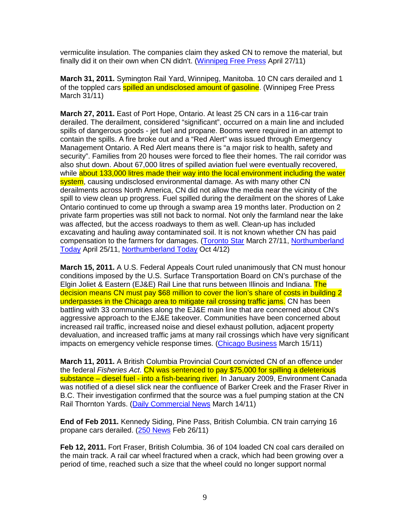vermiculite insulation. The companies claim they asked CN to remove the material, but finally did it on their own when CN didn't. (Winnipeg Free Press April 27/11)

**March 31, 2011.** Symington Rail Yard, Winnipeg, Manitoba. 10 CN cars derailed and 1 of the toppled cars **spilled an undisclosed amount of gasoline**. (Winnipeg Free Press March 31/11)

**March 27, 2011.** East of Port Hope, Ontario. At least 25 CN cars in a 116-car train derailed. The derailment, considered "significant", occurred on a main line and included spills of dangerous goods - jet fuel and propane. Booms were required in an attempt to contain the spills. A fire broke out and a "Red Alert" was issued through Emergency Management Ontario. A Red Alert means there is "a major risk to health, safety and security". Families from 20 houses were forced to flee their homes. The rail corridor was also shut down. About 67,000 litres of spilled aviation fuel were eventually recovered, while about 133,000 litres made their way into the local environment including the water system, causing undisclosed environmental damage. As with many other CN derailments across North America, CN did not allow the media near the vicinity of the spill to view clean up progress. Fuel spilled during the derailment on the shores of Lake Ontario continued to come up through a swamp area 19 months later. Production on 2 private farm properties was still not back to normal. Not only the farmland near the lake was affected, but the access roadways to them as well. Clean-up has included excavating and hauling away contaminated soil. It is not known whether CN has paid compensation to the farmers for damages. (Toronto Star March 27/11, Northumberland Today April 25/11, Northumberland Today Oct 4/12)

**March 15, 2011.** A U.S. Federal Appeals Court ruled unanimously that CN must honour conditions imposed by the U.S. Surface Transportation Board on CN's purchase of the Elgin Joliet & Eastern (EJ&E) Rail Line that runs between Illinois and Indiana. The decision means CN must pay \$68 million to cover the lion's share of costs in building 2 underpasses in the Chicago area to mitigate rail crossing traffic jams. CN has been battling with 33 communities along the EJ&E main line that are concerned about CN's aggressive approach to the EJ&E takeover. Communities have been concerned about increased rail traffic, increased noise and diesel exhaust pollution, adjacent property devaluation, and increased traffic jams at many rail crossings which have very significant impacts on emergency vehicle response times. (Chicago Business March 15/11)

**March 11, 2011.** A British Columbia Provincial Court convicted CN of an offence under the federal Fisheries Act. CN was sentenced to pay \$75,000 for spilling a deleterious substance – diesel fuel - into a fish-bearing river. In January 2009, Environment Canada was notified of a diesel slick near the confluence of Barker Creek and the Fraser River in B.C. Their investigation confirmed that the source was a fuel pumping station at the CN Rail Thornton Yards. (Daily Commercial News March 14/11)

**End of Feb 2011.** Kennedy Siding, Pine Pass, British Columbia. CN train carrying 16 propane cars derailed. (250 News Feb 26/11)

**Feb 12, 2011.** Fort Fraser, British Columbia. 36 of 104 loaded CN coal cars derailed on the main track. A rail car wheel fractured when a crack, which had been growing over a period of time, reached such a size that the wheel could no longer support normal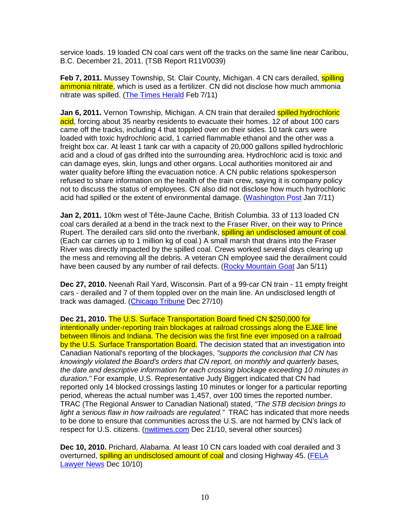service loads. 19 loaded CN coal cars went off the tracks on the same line near Caribou, B.C. December 21, 2011. (TSB Report R11V0039)

**Feb 7, 2011.** Mussey Township, St. Clair County, Michigan. 4 CN cars derailed, **spilling** ammonia nitrate, which is used as a fertilizer. CN did not disclose how much ammonia nitrate was spilled. (The Times Herald Feb 7/11)

**Jan 6, 2011.** Vernon Township, Michigan. A CN train that derailed **spilled hydrochloric** acid, forcing about 35 nearby residents to evacuate their homes. 12 of about 100 cars came off the tracks, including 4 that toppled over on their sides. 10 tank cars were loaded with toxic hydrochloric acid, 1 carried flammable ethanol and the other was a freight box car. At least 1 tank car with a capacity of 20,000 gallons spilled hydrochloric acid and a cloud of gas drifted into the surrounding area. Hydrochloric acid is toxic and can damage eyes, skin, lungs and other organs. Local authorities monitored air and water quality before lifting the evacuation notice. A CN public relations spokesperson refused to share information on the health of the train crew, saying it is company policy not to discuss the status of employees. CN also did not disclose how much hydrochloric acid had spilled or the extent of environmental damage. (Washington Post Jan 7/11)

**Jan 2, 2011.** 10km west of Tête-Jaune Cache, British Columbia. 33 of 113 loaded CN coal cars derailed at a bend in the track next to the Fraser River, on their way to Prince Rupert. The derailed cars slid onto the riverbank, **spilling an undisclosed amount of coal**. (Each car carries up to 1 million kg of coal.) A small marsh that drains into the Fraser River was directly impacted by the spilled coal. Crews worked several days clearing up the mess and removing all the debris. A veteran CN employee said the derailment could have been caused by any number of rail defects. (Rocky Mountain Goat Jan 5/11)

**Dec 27, 2010.** Neenah Rail Yard, Wisconsin. Part of a 99-car CN train - 11 empty freight cars - derailed and 7 of them toppled over on the main line. An undisclosed length of track was damaged. (Chicago Tribune Dec 27/10)

**Dec 21, 2010.** The U.S. Surface Transportation Board fined CN \$250,000 for intentionally under-reporting train blockages at railroad crossings along the EJ&E line between Illinois and Indiana. The decision was the first fine ever imposed on a railroad by the U.S. Surface Transportation Board. The decision stated that an investigation into Canadian National's reporting of the blockages, "supports the conclusion that CN has knowingly violated the Board's orders that CN report, on monthly and quarterly bases, the date and descriptive information for each crossing blockage exceeding 10 minutes in duration." For example, U.S. Representative Judy Biggert indicated that CN had reported only 14 blocked crossings lasting 10 minutes or longer for a particular reporting period, whereas the actual number was 1,457, over 100 times the reported number. TRAC (The Regional Answer to Canadian National) stated, "The STB decision brings to light a serious flaw in how railroads are regulated." TRAC has indicated that more needs to be done to ensure that communities across the U.S. are not harmed by CN's lack of respect for U.S. citizens. (nwitimes.com Dec 21/10, several other sources)

**Dec 10, 2010.** Prichard, Alabama. At least 10 CN cars loaded with coal derailed and 3 overturned, spilling an undisclosed amount of coal and closing Highway 45. (FELA Lawyer News Dec 10/10)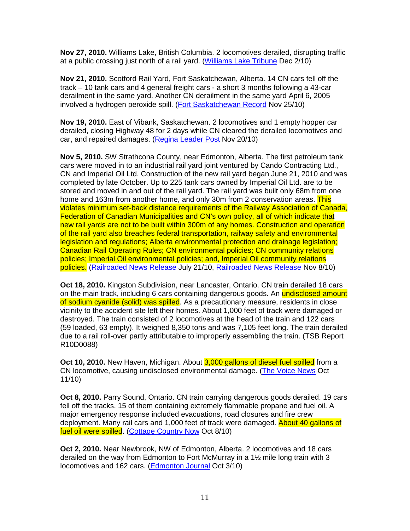**Nov 27, 2010.** Williams Lake, British Columbia. 2 locomotives derailed, disrupting traffic at a public crossing just north of a rail yard. (Williams Lake Tribune Dec 2/10)

**Nov 21, 2010.** Scotford Rail Yard, Fort Saskatchewan, Alberta. 14 CN cars fell off the track – 10 tank cars and 4 general freight cars - a short 3 months following a 43-car derailment in the same yard. Another CN derailment in the same yard April 6, 2005 involved a hydrogen peroxide spill. (Fort Saskatchewan Record Nov 25/10)

**Nov 19, 2010.** East of Vibank, Saskatchewan. 2 locomotives and 1 empty hopper car derailed, closing Highway 48 for 2 days while CN cleared the derailed locomotives and car, and repaired damages. (Regina Leader Post Nov 20/10)

**Nov 5, 2010.** SW Strathcona County, near Edmonton, Alberta. The first petroleum tank cars were moved in to an industrial rail yard joint ventured by Cando Contracting Ltd., CN and Imperial Oil Ltd. Construction of the new rail yard began June 21, 2010 and was completed by late October. Up to 225 tank cars owned by Imperial Oil Ltd. are to be stored and moved in and out of the rail yard. The rail yard was built only 68m from one home and 163m from another home, and only 30m from 2 conservation areas. This violates minimum set-back distance requirements of the Railway Association of Canada, Federation of Canadian Municipalities and CN's own policy, all of which indicate that new rail yards are not to be built within 300m of any homes. Construction and operation of the rail yard also breaches federal transportation, railway safety and environmental legislation and regulations; Alberta environmental protection and drainage legislation; Canadian Rail Operating Rules; CN environmental policies; CN community relations policies; Imperial Oil environmental policies; and, Imperial Oil community relations policies. (Railroaded News Release July 21/10, Railroaded News Release Nov 8/10)

**Oct 18, 2010.** Kingston Subdivision, near Lancaster, Ontario. CN train derailed 18 cars on the main track, including 6 cars containing dangerous goods. An undisclosed amount of sodium cyanide (solid) was spilled. As a precautionary measure, residents in close vicinity to the accident site left their homes. About 1,000 feet of track were damaged or destroyed. The train consisted of 2 locomotives at the head of the train and 122 cars (59 loaded, 63 empty). It weighed 8,350 tons and was 7,105 feet long. The train derailed due to a rail roll-over partly attributable to improperly assembling the train. (TSB Report R10D0088)

**Oct 10, 2010.** New Haven, Michigan. About 3,000 gallons of diesel fuel spilled from a CN locomotive, causing undisclosed environmental damage. (The Voice News Oct 11/10)

**Oct 8, 2010.** Parry Sound, Ontario. CN train carrying dangerous goods derailed. 19 cars fell off the tracks, 15 of them containing extremely flammable propane and fuel oil. A major emergency response included evacuations, road closures and fire crew deployment. Many rail cars and 1,000 feet of track were damaged. About 40 gallons of fuel oil were spilled. (Cottage Country Now Oct 8/10)

**Oct 2, 2010.** Near Newbrook, NW of Edmonton, Alberta. 2 locomotives and 18 cars derailed on the way from Edmonton to Fort McMurray in a 1½ mile long train with 3 locomotives and 162 cars. (Edmonton Journal Oct 3/10)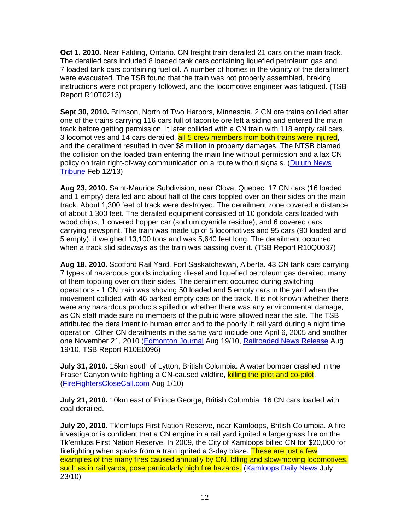**Oct 1, 2010.** Near Falding, Ontario. CN freight train derailed 21 cars on the main track. The derailed cars included 8 loaded tank cars containing liquefied petroleum gas and 7 loaded tank cars containing fuel oil. A number of homes in the vicinity of the derailment were evacuated. The TSB found that the train was not properly assembled, braking instructions were not properly followed, and the locomotive engineer was fatigued. (TSB Report R10T0213)

**Sept 30, 2010.** Brimson, North of Two Harbors, Minnesota. 2 CN ore trains collided after one of the trains carrying 116 cars full of taconite ore left a siding and entered the main track before getting permission. It later collided with a CN train with 118 empty rail cars. 3 locomotives and 14 cars derailed, all 5 crew members from both trains were injured, and the derailment resulted in over \$8 million in property damages. The NTSB blamed the collision on the loaded train entering the main line without permission and a lax CN policy on train right-of-way communication on a route without signals. (Duluth News Tribune Feb 12/13)

**Aug 23, 2010.** Saint-Maurice Subdivision, near Clova, Quebec. 17 CN cars (16 loaded and 1 empty) derailed and about half of the cars toppled over on their sides on the main track. About 1,300 feet of track were destroyed. The derailment zone covered a distance of about 1,300 feet. The derailed equipment consisted of 10 gondola cars loaded with wood chips, 1 covered hopper car (sodium cyanide residue), and 6 covered cars carrying newsprint. The train was made up of 5 locomotives and 95 cars (90 loaded and 5 empty), it weighed 13,100 tons and was 5,640 feet long. The derailment occurred when a track slid sideways as the train was passing over it. (TSB Report R10Q0037)

**Aug 18, 2010.** Scotford Rail Yard, Fort Saskatchewan, Alberta. 43 CN tank cars carrying 7 types of hazardous goods including diesel and liquefied petroleum gas derailed, many of them toppling over on their sides. The derailment occurred during switching operations - 1 CN train was shoving 50 loaded and 5 empty cars in the yard when the movement collided with 46 parked empty cars on the track. It is not known whether there were any hazardous products spilled or whether there was any environmental damage, as CN staff made sure no members of the public were allowed near the site. The TSB attributed the derailment to human error and to the poorly lit rail yard during a night time operation. Other CN derailments in the same yard include one April 6, 2005 and another one November 21, 2010 (Edmonton Journal Aug 19/10, Railroaded News Release Aug 19/10, TSB Report R10E0096)

**July 31, 2010.** 15km south of Lytton, British Columbia. A water bomber crashed in the Fraser Canyon while fighting a CN-caused wildfire, killing the pilot and co-pilot. (FireFightersCloseCall.com Aug 1/10)

**July 21, 2010.** 10km east of Prince George, British Columbia. 16 CN cars loaded with coal derailed.

**July 20, 2010.** Tk'emlups First Nation Reserve, near Kamloops, British Columbia. A fire investigator is confident that a CN engine in a rail yard ignited a large grass fire on the Tk'emlups First Nation Reserve. In 2009, the City of Kamloops billed CN for \$20,000 for firefighting when sparks from a train ignited a 3-day blaze. These are just a few examples of the many fires caused annually by CN. Idling and slow-moving locomotives, such as in rail yards, pose particularly high fire hazards. (Kamloops Daily News July 23/10)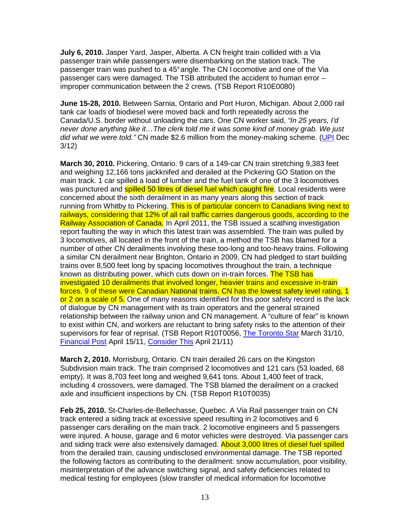**July 6, 2010.** Jasper Yard, Jasper, Alberta. A CN freight train collided with a Via passenger train while passengers were disembarking on the station track. The passenger train was pushed to a 45° angle. The CN l ocomotive and one of the Via passenger cars were damaged. The TSB attributed the accident to human error – improper communication between the 2 crews. (TSB Report R10E0080)

**June 15-28, 2010.** Between Sarnia, Ontario and Port Huron, Michigan. About 2,000 rail tank car loads of biodiesel were moved back and forth repeatedly across the Canada/U.S. border without unloading the cars. One CN worker said, "In 25 years, I'd never done anything like it…The clerk told me it was some kind of money grab. We just did what we were told." CN made \$2.6 million from the money-making scheme. (UPI Dec 3/12)

**March 30, 2010.** Pickering, Ontario. 9 cars of a 149-car CN train stretching 9,383 feet and weighing 12,166 tons jackknifed and derailed at the Pickering GO Station on the main track. 1 car spilled a load of lumber and the fuel tank of one of the 3 locomotives was punctured and **spilled 50 litres of diesel fuel which caught fire**. Local residents were concerned about the sixth derailment in as many years along this section of track running from Whitby to Pickering. This is of particular concern to Canadians living next to railways, considering that 12% of all rail traffic carries dangerous goods, according to the Railway Association of Canada. In April 2011, the TSB issued a scathing investigation report faulting the way in which this latest train was assembled. The train was pulled by 3 locomotives, all located in the front of the train, a method the TSB has blamed for a number of other CN derailments involving these too-long and too-heavy trains. Following a similar CN derailment near Brighton, Ontario in 2009, CN had pledged to start building trains over 8,500 feet long by spacing locomotives throughout the train, a technique known as distributing power, which cuts down on in-train forces. The TSB has investigated 10 derailments that involved longer, heavier trains and excessive in-train forces. 9 of these were Canadian National trains. CN has the lowest safety level rating, 1 or 2 on a scale of 5. One of many reasons identified for this poor safety record is the lack of dialogue by CN management with its train operators and the general strained relationship between the railway union and CN management. A "culture of fear" is known to exist within CN, and workers are reluctant to bring safety risks to the attention of their supervisors for fear of reprisal. (TSB Report R10T0056, The Toronto Star March 31/10, Financial Post April 15/11, Consider This April 21/11)

**March 2, 2010.** Morrisburg, Ontario. CN train derailed 26 cars on the Kingston Subdivision main track. The train comprised 2 locomotives and 121 cars (53 loaded, 68 empty). It was 8,703 feet long and weighed 9,641 tons. About 1,400 feet of track, including 4 crossovers, were damaged. The TSB blamed the derailment on a cracked axle and insufficient inspections by CN. (TSB Report R10T0035)

**Feb 25, 2010.** St-Charles-de-Bellechasse, Quebec. A Via Rail passenger train on CN track entered a siding track at excessive speed resulting in 2 locomotives and 6 passenger cars derailing on the main track. 2 locomotive engineers and 5 passengers were injured. A house, garage and 6 motor vehicles were destroyed. Via passenger cars and siding track were also extensively damaged. **About 3,000 litres of diesel fuel spilled** from the derailed train, causing undisclosed environmental damage. The TSB reported the following factors as contributing to the derailment: snow accumulation, poor visibility, misinterpretation of the advance switching signal, and safety deficiencies related to medical testing for employees (slow transfer of medical information for locomotive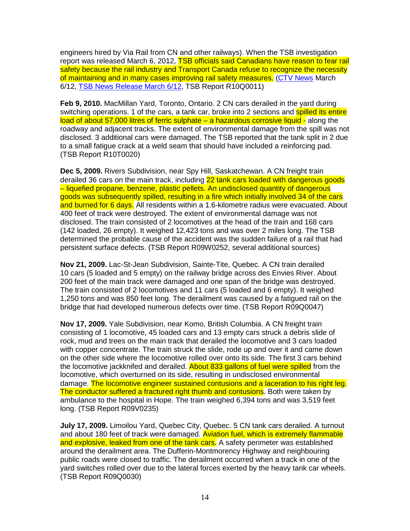engineers hired by Via Rail from CN and other railways). When the TSB investigation report was released March 6, 2012, TSB officials said Canadians have reason to fear rail safety because the rail industry and Transport Canada refuse to recognize the necessity of maintaining and in many cases improving rail safety measures. (CTV News March 6/12, TSB News Release March 6/12, TSB Report R10Q0011)

**Feb 9, 2010.** MacMillan Yard, Toronto, Ontario. 2 CN cars derailed in the yard during switching operations. 1 of the cars, a tank car, broke into 2 sections and **spilled its entire** load of about 57,000 litres of ferric sulphate - a hazardous corrosive liquid - along the roadway and adjacent tracks. The extent of environmental damage from the spill was not disclosed. 3 additional cars were damaged. The TSB reported that the tank split in 2 due to a small fatigue crack at a weld seam that should have included a reinforcing pad. (TSB Report R10T0020)

**Dec 5, 2009.** Rivers Subdivision, near Spy Hill, Saskatchewan. A CN freight train derailed 36 cars on the main track, including 22 tank cars loaded with dangerous goods – liquefied propane, benzene, plastic pellets. An undisclosed quantity of dangerous goods was subsequently spilled, resulting in a fire which initially involved 34 of the cars and burned for 6 days. All residents within a 1.6-kilometre radius were evacuated. About 400 feet of track were destroyed. The extent of environmental damage was not disclosed. The train consisted of 2 locomotives at the head of the train and 168 cars (142 loaded, 26 empty). It weighed 12,423 tons and was over 2 miles long. The TSB determined the probable cause of the accident was the sudden failure of a rail that had persistent surface defects. (TSB Report R09W0252, several additional sources)

**Nov 21, 2009.** Lac-St-Jean Subdivision, Sainte-Tite, Quebec. A CN train derailed 10 cars (5 loaded and 5 empty) on the railway bridge across des Envies River. About 200 feet of the main track were damaged and one span of the bridge was destroyed. The train consisted of 2 locomotives and 11 cars (5 loaded and 6 empty). It weighed 1,250 tons and was 850 feet long. The derailment was caused by a fatigued rail on the bridge that had developed numerous defects over time. (TSB Report R09Q0047)

**Nov 17, 2009.** Yale Subdivision, near Komo, British Columbia. A CN freight train consisting of 1 locomotive, 45 loaded cars and 13 empty cars struck a debris slide of rock, mud and trees on the main track that derailed the locomotive and 3 cars loaded with copper concentrate. The train struck the slide, rode up and over it and came down on the other side where the locomotive rolled over onto its side. The first 3 cars behind the locomotive jackknifed and derailed. About 833 gallons of fuel were spilled from the locomotive, which overturned on its side, resulting in undisclosed environmental damage. The locomotive engineer sustained contusions and a laceration to his right leg. The conductor suffered a fractured right thumb and contusions. Both were taken by ambulance to the hospital in Hope. The train weighed 6,394 tons and was 3,519 feet long. (TSB Report R09V0235)

**July 17, 2009.** Limoilou Yard, Quebec City, Quebec. 5 CN tank cars derailed. A turnout and about 180 feet of track were damaged. Aviation fuel, which is extremely flammable and explosive, leaked from one of the tank cars. A safety perimeter was established around the derailment area. The Dufferin-Montmorency Highway and neighbouring public roads were closed to traffic. The derailment occurred when a track in one of the yard switches rolled over due to the lateral forces exerted by the heavy tank car wheels. (TSB Report R09Q0030)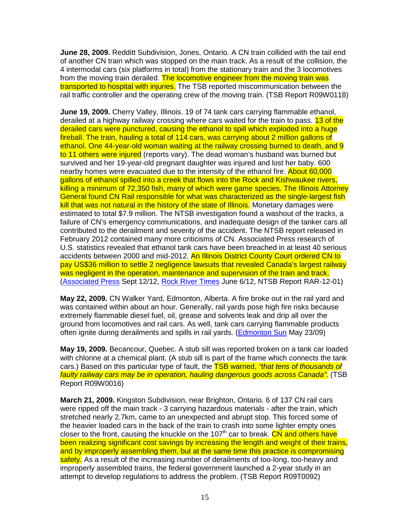**June 28, 2009.** Redditt Subdivision, Jones, Ontario. A CN train collided with the tail end of another CN train which was stopped on the main track. As a result of the collision, the 4 intermodal cars (six platforms in total) from the stationary train and the 3 locomotives from the moving train derailed. The locomotive engineer from the moving train was transported to hospital with injuries. The TSB reported miscommunication between the rail traffic controller and the operating crew of the moving train. (TSB Report R09W0118)

**June 19, 2009.** Cherry Valley, Illinois. 19 of 74 tank cars carrying flammable ethanol, derailed at a highway railway crossing where cars waited for the train to pass. 13 of the derailed cars were punctured, causing the ethanol to spill which exploded into a huge fireball. The train, hauling a total of 114 cars, was carrying about 2 million gallons of ethanol. One 44-year-old woman waiting at the railway crossing burned to death, and 9 to 11 others were injured (reports vary). The dead woman's husband was burned but survived and her 19-year-old pregnant daughter was injured and lost her baby. 600 nearby homes were evacuated due to the intensity of the ethanol fire. About 60,000 gallons of ethanol spilled into a creek that flows into the Rock and Kishwaukee rivers, killing a minimum of 72,350 fish, many of which were game species. The Illinois Attorney General found CN Rail responsible for what was characterized as the single-largest fish kill that was not natural in the history of the state of Illinois. Monetary damages were estimated to total \$7.9 million. The NTSB investigation found a washout of the tracks, a failure of CN's emergency communications, and inadequate design of the tanker cars all contributed to the derailment and severity of the accident. The NTSB report released in February 2012 contained many more criticisms of CN. Associated Press research of U.S. statistics revealed that ethanol tank cars have been breached in at least 40 serious accidents between 2000 and mid-2012. An Illinois District County Court ordered CN to pay US\$36 million to settle 2 negligence lawsuits that revealed Canada's largest railway was negligent in the operation, maintenance and supervision of the train and track. (Associated Press Sept 12/12, Rock River Times June 6/12, NTSB Report RAR-12-01)

**May 22, 2009.** CN Walker Yard, Edmonton, Alberta. A fire broke out in the rail yard and was contained within about an hour. Generally, rail yards pose high fire risks because extremely flammable diesel fuel, oil, grease and solvents leak and drip all over the ground from locomotives and rail cars. As well, tank cars carrying flammable products often ignite during derailments and spills in rail yards. (Edmonton Sun May 23/09)

**May 19, 2009.** Becancour, Quebec. A stub sill was reported broken on a tank car loaded with chlorine at a chemical plant. (A stub sill is part of the frame which connects the tank cars.) Based on this particular type of fault, the **TSB warned, "that tens of thousands of** faulty railway cars may be in operation, hauling dangerous goods across Canada". (TSB Report R09W0016)

**March 21, 2009.** Kingston Subdivision, near Brighton, Ontario. 6 of 137 CN rail cars were ripped off the main track - 3 carrying hazardous materials - after the train, which stretched nearly 2.7km, came to an unexpected and abrupt stop. This forced some of the heavier loaded cars in the back of the train to crash into some lighter empty ones closer to the front, causing the knuckle on the 107<sup>th</sup> car to break. CN and others have been realizing significant cost savings by increasing the length and weight of their trains, and by improperly assembling them, but at the same time this practice is compromising safety. As a result of the increasing number of derailments of too-long, too-heavy and improperly assembled trains, the federal government launched a 2-year study in an attempt to develop regulations to address the problem. (TSB Report R09T0092)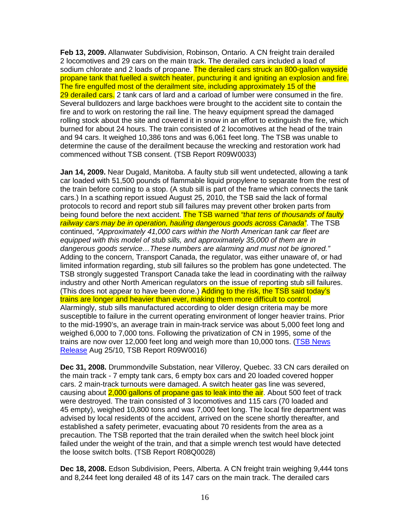**Feb 13, 2009.** Allanwater Subdivision, Robinson, Ontario. A CN freight train derailed 2 locomotives and 29 cars on the main track. The derailed cars included a load of sodium chlorate and 2 loads of propane. The derailed cars struck an 800-gallon wayside propane tank that fuelled a switch heater, puncturing it and igniting an explosion and fire. The fire engulfed most of the derailment site, including approximately 15 of the 29 derailed cars. 2 tank cars of lard and a carload of lumber were consumed in the fire. Several bulldozers and large backhoes were brought to the accident site to contain the fire and to work on restoring the rail line. The heavy equipment spread the damaged rolling stock about the site and covered it in snow in an effort to extinguish the fire, which burned for about 24 hours. The train consisted of 2 locomotives at the head of the train and 94 cars. It weighed 10,386 tons and was 6,061 feet long. The TSB was unable to determine the cause of the derailment because the wrecking and restoration work had commenced without TSB consent. (TSB Report R09W0033)

**Jan 14, 2009.** Near Dugald, Manitoba. A faulty stub sill went undetected, allowing a tank car loaded with 51,500 pounds of flammable liquid propylene to separate from the rest of the train before coming to a stop. (A stub sill is part of the frame which connects the tank cars.) In a scathing report issued August 25, 2010, the TSB said the lack of formal protocols to record and report stub sill failures may prevent other broken parts from being found before the next accident. The TSB warned "that tens of thousands of faulty railway cars may be in operation, hauling dangerous goods across Canada". The TSB continued, "Approximately 41,000 cars within the North American tank car fleet are equipped with this model of stub sills, and approximately 35,000 of them are in dangerous goods service…These numbers are alarming and must not be ignored." Adding to the concern, Transport Canada, the regulator, was either unaware of, or had limited information regarding, stub sill failures so the problem has gone undetected. The TSB strongly suggested Transport Canada take the lead in coordinating with the railway industry and other North American regulators on the issue of reporting stub sill failures. (This does not appear to have been done.) Adding to the risk, the TSB said today's trains are longer and heavier than ever, making them more difficult to control. Alarmingly, stub sills manufactured according to older design criteria may be more susceptible to failure in the current operating environment of longer heavier trains. Prior to the mid-1990's, an average train in main-track service was about 5,000 feet long and weighed 6,000 to 7,000 tons. Following the privatization of CN in 1995, some of the trains are now over 12,000 feet long and weigh more than 10,000 tons. (TSB News Release Aug 25/10, TSB Report R09W0016)

**Dec 31, 2008.** Drummondville Substation, near Villeroy, Quebec. 33 CN cars derailed on the main track - 7 empty tank cars, 6 empty box cars and 20 loaded covered hopper cars. 2 main-track turnouts were damaged. A switch heater gas line was severed, causing about 2,000 gallons of propane gas to leak into the air. About 500 feet of track were destroyed. The train consisted of 3 locomotives and 115 cars (70 loaded and 45 empty), weighed 10,800 tons and was 7,000 feet long. The local fire department was advised by local residents of the accident, arrived on the scene shortly thereafter, and established a safety perimeter, evacuating about 70 residents from the area as a precaution. The TSB reported that the train derailed when the switch heel block joint failed under the weight of the train, and that a simple wrench test would have detected the loose switch bolts. (TSB Report R08Q0028)

**Dec 18, 2008.** Edson Subdivision, Peers, Alberta. A CN freight train weighing 9,444 tons and 8,244 feet long derailed 48 of its 147 cars on the main track. The derailed cars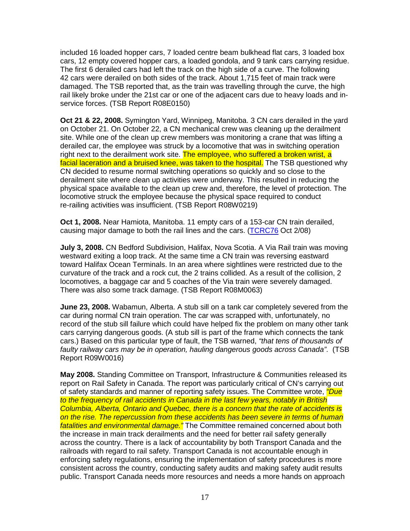included 16 loaded hopper cars, 7 loaded centre beam bulkhead flat cars, 3 loaded box cars, 12 empty covered hopper cars, a loaded gondola, and 9 tank cars carrying residue. The first 6 derailed cars had left the track on the high side of a curve. The following 42 cars were derailed on both sides of the track. About 1,715 feet of main track were damaged. The TSB reported that, as the train was travelling through the curve, the high rail likely broke under the 21st car or one of the adjacent cars due to heavy loads and inservice forces. (TSB Report R08E0150)

**Oct 21 & 22, 2008.** Symington Yard, Winnipeg, Manitoba. 3 CN cars derailed in the yard on October 21. On October 22, a CN mechanical crew was cleaning up the derailment site. While one of the clean up crew members was monitoring a crane that was lifting a derailed car, the employee was struck by a locomotive that was in switching operation right next to the derailment work site. The employee, who suffered a broken wrist, a facial laceration and a bruised knee, was taken to the hospital. The TSB questioned why CN decided to resume normal switching operations so quickly and so close to the derailment site where clean up activities were underway. This resulted in reducing the physical space available to the clean up crew and, therefore, the level of protection. The locomotive struck the employee because the physical space required to conduct re-railing activities was insufficient. (TSB Report R08W0219)

**Oct 1, 2008.** Near Hamiota, Manitoba. 11 empty cars of a 153-car CN train derailed, causing major damage to both the rail lines and the cars. (TCRC76 Oct 2/08)

**July 3, 2008.** CN Bedford Subdivision, Halifax, Nova Scotia. A Via Rail train was moving westward exiting a loop track. At the same time a CN train was reversing eastward toward Halifax Ocean Terminals. In an area where sightlines were restricted due to the curvature of the track and a rock cut, the 2 trains collided. As a result of the collision, 2 locomotives, a baggage car and 5 coaches of the Via train were severely damaged. There was also some track damage. (TSB Report R08M0063)

**June 23, 2008.** Wabamun, Alberta. A stub sill on a tank car completely severed from the car during normal CN train operation. The car was scrapped with, unfortunately, no record of the stub sill failure which could have helped fix the problem on many other tank cars carrying dangerous goods. (A stub sill is part of the frame which connects the tank cars.) Based on this particular type of fault, the TSB warned, "that tens of thousands of faulty railway cars may be in operation, hauling dangerous goods across Canada". (TSB Report R09W0016)

**May 2008.** Standing Committee on Transport, Infrastructure & Communities released its report on Rail Safety in Canada. The report was particularly critical of CN's carrying out of safety standards and manner of reporting safety issues. The Committee wrote, *"Due* to the frequency of rail accidents in Canada in the last few years, notably in British Columbia, Alberta, Ontario and Quebec, there is a concern that the rate of accidents is on the rise. The repercussion from these accidents has been severe in terms of human fatalities and environmental damage." The Committee remained concerned about both the increase in main track derailments and the need for better rail safety generally across the country. There is a lack of accountability by both Transport Canada and the railroads with regard to rail safety. Transport Canada is not accountable enough in enforcing safety regulations, ensuring the implementation of safety procedures is more consistent across the country, conducting safety audits and making safety audit results public. Transport Canada needs more resources and needs a more hands on approach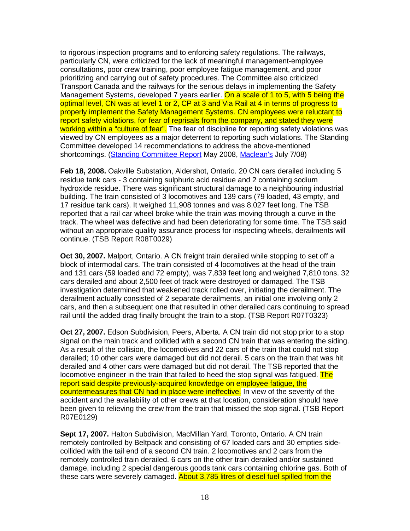to rigorous inspection programs and to enforcing safety regulations. The railways, particularly CN, were criticized for the lack of meaningful management-employee consultations, poor crew training, poor employee fatigue management, and poor prioritizing and carrying out of safety procedures. The Committee also criticized Transport Canada and the railways for the serious delays in implementing the Safety Management Systems, developed 7 years earlier. On a scale of 1 to 5, with 5 being the optimal level, CN was at level 1 or 2, CP at 3 and Via Rail at 4 in terms of progress to properly implement the Safety Management Systems. CN employees were reluctant to report safety violations, for fear of reprisals from the company, and stated they were working within a "culture of fear". The fear of discipline for reporting safety violations was viewed by CN employees as a major deterrent to reporting such violations. The Standing Committee developed 14 recommendations to address the above-mentioned shortcomings. (Standing Committee Report May 2008, Maclean's July 7/08)

**Feb 18, 2008.** Oakville Substation, Aldershot, Ontario. 20 CN cars derailed including 5 residue tank cars - 3 containing sulphuric acid residue and 2 containing sodium hydroxide residue. There was significant structural damage to a neighbouring industrial building. The train consisted of 3 locomotives and 139 cars (79 loaded, 43 empty, and 17 residue tank cars). It weighed 11,908 tonnes and was 8,027 feet long. The TSB reported that a rail car wheel broke while the train was moving through a curve in the track. The wheel was defective and had been deteriorating for some time. The TSB said without an appropriate quality assurance process for inspecting wheels, derailments will continue. (TSB Report R08T0029)

**Oct 30, 2007.** Malport, Ontario. A CN freight train derailed while stopping to set off a block of intermodal cars. The train consisted of 4 locomotives at the head of the train and 131 cars (59 loaded and 72 empty), was 7,839 feet long and weighed 7,810 tons. 32 cars derailed and about 2,500 feet of track were destroyed or damaged. The TSB investigation determined that weakened track rolled over, initiating the derailment. The derailment actually consisted of 2 separate derailments, an initial one involving only 2 cars, and then a subsequent one that resulted in other derailed cars continuing to spread rail until the added drag finally brought the train to a stop. (TSB Report R07T0323)

**Oct 27, 2007.** Edson Subdivision, Peers, Alberta. A CN train did not stop prior to a stop signal on the main track and collided with a second CN train that was entering the siding. As a result of the collision, the locomotives and 22 cars of the train that could not stop derailed; 10 other cars were damaged but did not derail. 5 cars on the train that was hit derailed and 4 other cars were damaged but did not derail. The TSB reported that the locomotive engineer in the train that failed to heed the stop signal was fatigued. The report said despite previously-acquired knowledge on employee fatigue, the countermeasures that CN had in place were ineffective. In view of the severity of the accident and the availability of other crews at that location, consideration should have been given to relieving the crew from the train that missed the stop signal. (TSB Report R07E0129)

**Sept 17, 2007.** Halton Subdivision, MacMillan Yard, Toronto, Ontario. A CN train remotely controlled by Beltpack and consisting of 67 loaded cars and 30 empties sidecollided with the tail end of a second CN train. 2 locomotives and 2 cars from the remotely controlled train derailed. 6 cars on the other train derailed and/or sustained damage, including 2 special dangerous goods tank cars containing chlorine gas. Both of these cars were severely damaged. About 3,785 litres of diesel fuel spilled from the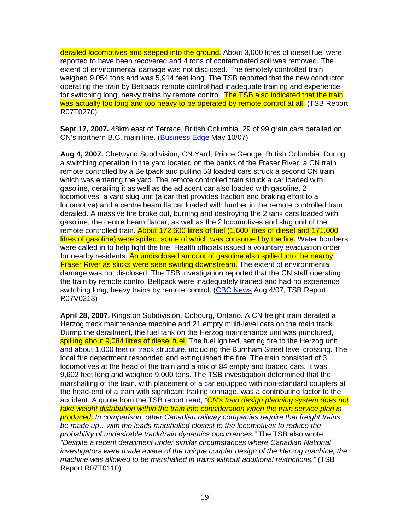derailed locomotives and seeped into the ground. About 3,000 litres of diesel fuel were reported to have been recovered and 4 tons of contaminated soil was removed. The extent of environmental damage was not disclosed. The remotely controlled train weighed 9,054 tons and was 5,914 feet long. The TSB reported that the new conductor operating the train by Beltpack remote control had inadequate training and experience for switching long, heavy trains by remote control. The TSB also indicated that the train was actually too long and too heavy to be operated by remote control at all. (TSB Report R07T0270)

**Sept 17, 2007.** 48km east of Terrace, British Columbia. 29 of 99 grain cars derailed on CN's northern B.C. main line. (Business Edge May 10/07)

**Aug 4, 2007.** Chetwynd Subdivision, CN Yard, Prince George, British Columbia. During a switching operation in the yard located on the banks of the Fraser River, a CN train remote controlled by a Beltpack and pulling 53 loaded cars struck a second CN train which was entering the yard. The remote controlled train struck a car loaded with gasoline, derailing it as well as the adjacent car also loaded with gasoline. 2 locomotives, a yard slug unit (a car that provides traction and braking effort to a locomotive) and a centre beam flatcar loaded with lumber in the remote controlled train derailed. A massive fire broke out, burning and destroying the 2 tank cars loaded with gasoline, the centre beam flatcar, as well as the 2 locomotives and slug unit of the remote controlled train. About 172,600 litres of fuel (1,600 litres of diesel and 171,000 litres of gasoline) were spilled, some of which was consumed by the fire. Water bombers were called in to help fight the fire. Health officials issued a voluntary evacuation order for nearby residents. An undisclosed amount of gasoline also spilled into the nearby **Fraser River as slicks were seen swirling downstream.** The extent of environmental damage was not disclosed. The TSB investigation reported that the CN staff operating the train by remote control Beltpack were inadequately trained and had no experience switching long, heavy trains by remote control. (CBC News Aug 4/07, TSB Report R07V0213)

**April 28, 2007.** Kingston Subdivision, Cobourg, Ontario. A CN freight train derailed a Herzog track maintenance machine and 21 empty multi-level cars on the main track. During the derailment, the fuel tank on the Herzog maintenance unit was punctured, spilling about 9,084 litres of diesel fuel. The fuel ignited, setting fire to the Herzog unit and about 1,000 feet of track structure, including the Burnham Street level crossing. The local fire department responded and extinguished the fire. The train consisted of 3 locomotives at the head of the train and a mix of 84 empty and loaded cars. It was 9,602 feet long and weighed 9,000 tons. The TSB investigation determined that the marshalling of the train, with placement of a car equipped with non-standard couplers at the head-end of a train with significant trailing tonnage, was a contributing factor to the accident. A quote from the TSB report read, "CN's train design planning system does not take weight distribution within the train into consideration when the train service plan is produced. In comparison, other Canadian railway companies require that freight trains be made up…with the loads marshalled closest to the locomotives to reduce the probability of undesirable track/train dynamics occurrences." The TSB also wrote, "Despite a recent derailment under similar circumstances where Canadian National investigators were made aware of the unique coupler design of the Herzog machine, the machine was allowed to be marshalled in trains without additional restrictions." (TSB Report R07T0110)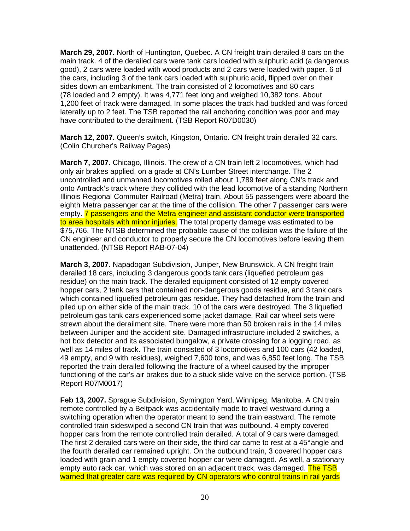**March 29, 2007.** North of Huntington, Quebec. A CN freight train derailed 8 cars on the main track. 4 of the derailed cars were tank cars loaded with sulphuric acid (a dangerous good), 2 cars were loaded with wood products and 2 cars were loaded with paper. 6 of the cars, including 3 of the tank cars loaded with sulphuric acid, flipped over on their sides down an embankment. The train consisted of 2 locomotives and 80 cars (78 loaded and 2 empty). It was 4,771 feet long and weighed 10,382 tons. About 1,200 feet of track were damaged. In some places the track had buckled and was forced laterally up to 2 feet. The TSB reported the rail anchoring condition was poor and may have contributed to the derailment. (TSB Report R07D0030)

**March 12, 2007.** Queen's switch, Kingston, Ontario. CN freight train derailed 32 cars. (Colin Churcher's Railway Pages)

**March 7, 2007.** Chicago, Illinois. The crew of a CN train left 2 locomotives, which had only air brakes applied, on a grade at CN's Lumber Street interchange. The 2 uncontrolled and unmanned locomotives rolled about 1,789 feet along CN's track and onto Amtrack's track where they collided with the lead locomotive of a standing Northern Illinois Regional Commuter Railroad (Metra) train. About 55 passengers were aboard the eighth Metra passenger car at the time of the collision. The other 7 passenger cars were empty. **7** passengers and the Metra engineer and assistant conductor were transported to area hospitals with minor injuries. The total property damage was estimated to be \$75,766. The NTSB determined the probable cause of the collision was the failure of the CN engineer and conductor to properly secure the CN locomotives before leaving them unattended. (NTSB Report RAB-07-04)

**March 3, 2007.** Napadogan Subdivision, Juniper, New Brunswick. A CN freight train derailed 18 cars, including 3 dangerous goods tank cars (liquefied petroleum gas residue) on the main track. The derailed equipment consisted of 12 empty covered hopper cars, 2 tank cars that contained non-dangerous goods residue, and 3 tank cars which contained liquefied petroleum gas residue. They had detached from the train and piled up on either side of the main track. 10 of the cars were destroyed. The 3 liquefied petroleum gas tank cars experienced some jacket damage. Rail car wheel sets were strewn about the derailment site. There were more than 50 broken rails in the 14 miles between Juniper and the accident site. Damaged infrastructure included 2 switches, a hot box detector and its associated bungalow, a private crossing for a logging road, as well as 14 miles of track. The train consisted of 3 locomotives and 100 cars (42 loaded, 49 empty, and 9 with residues), weighed 7,600 tons, and was 6,850 feet long. The TSB reported the train derailed following the fracture of a wheel caused by the improper functioning of the car's air brakes due to a stuck slide valve on the service portion. (TSB Report R07M0017)

**Feb 13, 2007.** Sprague Subdivision, Symington Yard, Winnipeg, Manitoba. A CN train remote controlled by a Beltpack was accidentally made to travel westward during a switching operation when the operator meant to send the train eastward. The remote controlled train sideswiped a second CN train that was outbound. 4 empty covered hopper cars from the remote controlled train derailed. A total of 9 cars were damaged. The first 2 derailed cars were on their side, the third car came to rest at a 45° angle and the fourth derailed car remained upright. On the outbound train, 3 covered hopper cars loaded with grain and 1 empty covered hopper car were damaged. As well, a stationary empty auto rack car, which was stored on an adjacent track, was damaged. The TSB warned that greater care was required by CN operators who control trains in rail yards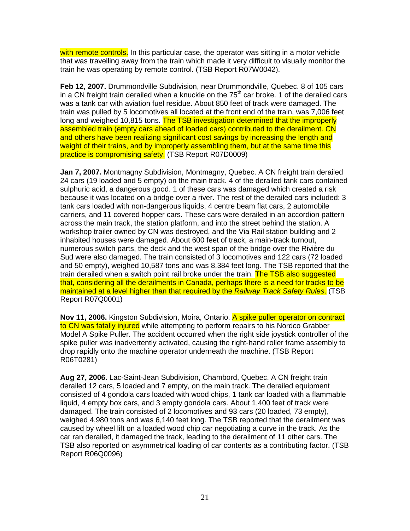with remote controls. In this particular case, the operator was sitting in a motor vehicle that was travelling away from the train which made it very difficult to visually monitor the train he was operating by remote control. (TSB Report R07W0042).

**Feb 12, 2007.** Drummondville Subdivision, near Drummondville, Quebec. 8 of 105 cars in a CN freight train derailed when a knuckle on the  $75<sup>th</sup>$  car broke. 1 of the derailed cars was a tank car with aviation fuel residue. About 850 feet of track were damaged. The train was pulled by 5 locomotives all located at the front end of the train, was 7,006 feet long and weighed 10,815 tons. The TSB investigation determined that the improperly assembled train (empty cars ahead of loaded cars) contributed to the derailment. CN and others have been realizing significant cost savings by increasing the length and weight of their trains, and by improperly assembling them, but at the same time this practice is compromising safety. (TSB Report R07D0009)

**Jan 7, 2007.** Montmagny Subdivision, Montmagny, Quebec. A CN freight train derailed 24 cars (19 loaded and 5 empty) on the main track. 4 of the derailed tank cars contained sulphuric acid, a dangerous good. 1 of these cars was damaged which created a risk because it was located on a bridge over a river. The rest of the derailed cars included: 3 tank cars loaded with non-dangerous liquids, 4 centre beam flat cars, 2 automobile carriers, and 11 covered hopper cars. These cars were derailed in an accordion pattern across the main track, the station platform, and into the street behind the station. A workshop trailer owned by CN was destroyed, and the Via Rail station building and 2 inhabited houses were damaged. About 600 feet of track, a main-track turnout, numerous switch parts, the deck and the west span of the bridge over the Rivière du Sud were also damaged. The train consisted of 3 locomotives and 122 cars (72 loaded and 50 empty), weighed 10,587 tons and was 8,384 feet long. The TSB reported that the train derailed when a switch point rail broke under the train. The TSB also suggested that, considering all the derailments in Canada, perhaps there is a need for tracks to be maintained at a level higher than that required by the Railway Track Safety Rules. (TSB Report R07Q0001)

**Nov 11, 2006.** Kingston Subdivision, Moira, Ontario. A spike puller operator on contract to CN was fatally injured while attempting to perform repairs to his Nordco Grabber Model A Spike Puller. The accident occurred when the right side joystick controller of the spike puller was inadvertently activated, causing the right-hand roller frame assembly to drop rapidly onto the machine operator underneath the machine. (TSB Report R06T0281)

**Aug 27, 2006.** Lac-Saint-Jean Subdivision, Chambord, Quebec. A CN freight train derailed 12 cars, 5 loaded and 7 empty, on the main track. The derailed equipment consisted of 4 gondola cars loaded with wood chips, 1 tank car loaded with a flammable liquid, 4 empty box cars, and 3 empty gondola cars. About 1,400 feet of track were damaged. The train consisted of 2 locomotives and 93 cars (20 loaded, 73 empty), weighed 4,980 tons and was 6,140 feet long. The TSB reported that the derailment was caused by wheel lift on a loaded wood chip car negotiating a curve in the track. As the car ran derailed, it damaged the track, leading to the derailment of 11 other cars. The TSB also reported on asymmetrical loading of car contents as a contributing factor. (TSB Report R06Q0096)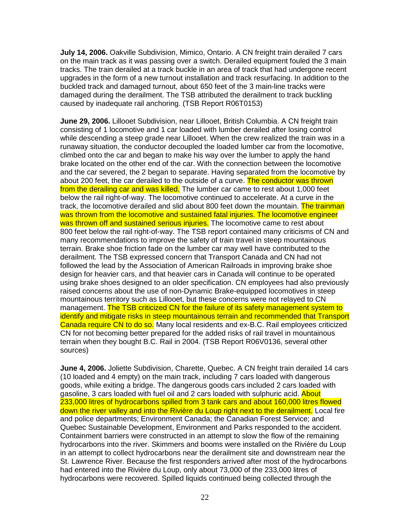**July 14, 2006.** Oakville Subdivision, Mimico, Ontario. A CN freight train derailed 7 cars on the main track as it was passing over a switch. Derailed equipment fouled the 3 main tracks. The train derailed at a track buckle in an area of track that had undergone recent upgrades in the form of a new turnout installation and track resurfacing. In addition to the buckled track and damaged turnout, about 650 feet of the 3 main-line tracks were damaged during the derailment. The TSB attributed the derailment to track buckling caused by inadequate rail anchoring. (TSB Report R06T0153)

**June 29, 2006.** Lillooet Subdivision, near Lillooet, British Columbia. A CN freight train consisting of 1 locomotive and 1 car loaded with lumber derailed after losing control while descending a steep grade near Lillooet. When the crew realized the train was in a runaway situation, the conductor decoupled the loaded lumber car from the locomotive, climbed onto the car and began to make his way over the lumber to apply the hand brake located on the other end of the car. With the connection between the locomotive and the car severed, the 2 began to separate. Having separated from the locomotive by about 200 feet, the car derailed to the outside of a curve. The conductor was thrown from the derailing car and was killed. The lumber car came to rest about 1,000 feet below the rail right-of-way. The locomotive continued to accelerate. At a curve in the track, the locomotive derailed and slid about 800 feet down the mountain. The trainman was thrown from the locomotive and sustained fatal injuries. The locomotive engineer was thrown off and sustained serious injuries. The locomotive came to rest about 800 feet below the rail right-of-way. The TSB report contained many criticisms of CN and many recommendations to improve the safety of train travel in steep mountainous terrain. Brake shoe friction fade on the lumber car may well have contributed to the derailment. The TSB expressed concern that Transport Canada and CN had not followed the lead by the Association of American Railroads in improving brake shoe design for heavier cars, and that heavier cars in Canada will continue to be operated using brake shoes designed to an older specification. CN employees had also previously raised concerns about the use of non-Dynamic Brake-equipped locomotives in steep mountainous territory such as Lillooet, but these concerns were not relayed to CN management. The TSB criticized CN for the failure of its safety management system to identify and mitigate risks in steep mountainous terrain and recommended that Transport Canada require CN to do so. Many local residents and ex-B.C. Rail employees criticized CN for not becoming better prepared for the added risks of rail travel in mountainous terrain when they bought B.C. Rail in 2004. (TSB Report R06V0136, several other sources)

**June 4, 2006.** Joliette Subdivision, Charette, Quebec. A CN freight train derailed 14 cars (10 loaded and 4 empty) on the main track, including 7 cars loaded with dangerous goods, while exiting a bridge. The dangerous goods cars included 2 cars loaded with gasoline, 3 cars loaded with fuel oil and 2 cars loaded with sulphuric acid. About 233,000 litres of hydrocarbons spilled from 3 tank cars and about 160,000 litres flowed down the river valley and into the Rivière du Loup right next to the derailment. Local fire and police departments; Environment Canada; the Canadian Forest Service; and Quebec Sustainable Development, Environment and Parks responded to the accident. Containment barriers were constructed in an attempt to slow the flow of the remaining hydrocarbons into the river. Skimmers and booms were installed on the Rivière du Loup in an attempt to collect hydrocarbons near the derailment site and downstream near the St. Lawrence River. Because the first responders arrived after most of the hydrocarbons had entered into the Rivière du Loup, only about 73,000 of the 233,000 litres of hydrocarbons were recovered. Spilled liquids continued being collected through the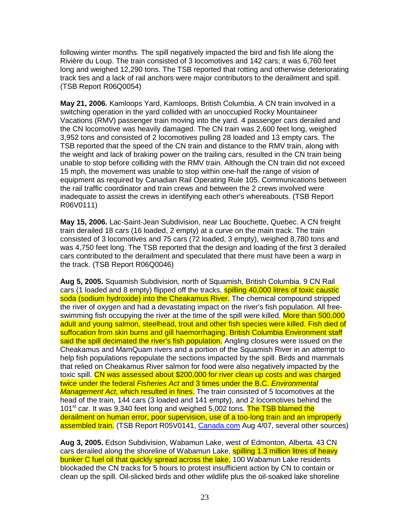following winter months. The spill negatively impacted the bird and fish life along the Rivière du Loup. The train consisted of 3 locomotives and 142 cars; it was 6,760 feet long and weighed 12,290 tons. The TSB reported that rotting and otherwise deteriorating track ties and a lack of rail anchors were major contributors to the derailment and spill. (TSB Report R06Q0054)

**May 21, 2006.** Kamloops Yard, Kamloops, British Columbia. A CN train involved in a switching operation in the yard collided with an unoccupied Rocky Mountaineer Vacations (RMV) passenger train moving into the yard. 4 passenger cars derailed and the CN locomotive was heavily damaged. The CN train was 2,600 feet long, weighed 3,952 tons and consisted of 2 locomotives pulling 28 loaded and 13 empty cars. The TSB reported that the speed of the CN train and distance to the RMV train, along with the weight and lack of braking power on the trailing cars, resulted in the CN train being unable to stop before colliding with the RMV train. Although the CN train did not exceed 15 mph, the movement was unable to stop within one-half the range of vision of equipment as required by Canadian Rail Operating Rule 105. Communications between the rail traffic coordinator and train crews and between the 2 crews involved were inadequate to assist the crews in identifying each other's whereabouts. (TSB Report R06V0111)

**May 15, 2006.** Lac-Saint-Jean Subdivision, near Lac Bouchette, Quebec. A CN freight train derailed 18 cars (16 loaded, 2 empty) at a curve on the main track. The train consisted of 3 locomotives and 75 cars (72 loaded, 3 empty), weighed 8,780 tons and was 4,750 feet long. The TSB reported that the design and loading of the first 3 derailed cars contributed to the derailment and speculated that there must have been a warp in the track. (TSB Report R06Q0046)

**Aug 5, 2005.** Squamish Subdivision, north of Squamish, British Columbia. 9 CN Rail cars (1 loaded and 8 empty) flipped off the tracks, **spilling 40,000 litres of toxic caustic** soda (sodium hydroxide) into the Cheakamus River. The chemical compound stripped the river of oxygen and had a devastating impact on the river's fish population. All freeswimming fish occupying the river at the time of the spill were killed. More than 500.000 adult and young salmon, steelhead, trout and other fish species were killed. Fish died of suffocation from skin burns and gill haemorrhaging. British Columbia Environment staff said the spill decimated the river's fish population. Angling closures were issued on the Cheakamus and MamQuam rivers and a portion of the Squamish River in an attempt to help fish populations repopulate the sections impacted by the spill. Birds and mammals that relied on Cheakamus River salmon for food were also negatively impacted by the toxic spill. CN was assessed about \$200,000 for river clean up costs and was charged twice under the federal Fisheries Act and 3 times under the B.C. Environmental Management Act, which resulted in fines. The train consisted of 5 locomotives at the head of the train, 144 cars (3 loaded and 141 empty), and 2 locomotives behind the 101<sup>st</sup> car. It was 9,340 feet long and weighed 5,002 tons. The TSB blamed the derailment on human error, poor supervision, use of a too-long train and an improperly assembled train. (TSB Report R05V0141, Canada.com Aug 4/07, several other sources)

**Aug 3, 2005.** Edson Subdivision, Wabamun Lake, west of Edmonton, Alberta. 43 CN cars derailed along the shoreline of Wabamun Lake, spilling 1.3 million litres of heavy bunker C fuel oil that quickly spread across the lake. 100 Wabamun Lake residents blockaded the CN tracks for 5 hours to protest insufficient action by CN to contain or clean up the spill. Oil-slicked birds and other wildlife plus the oil-soaked lake shoreline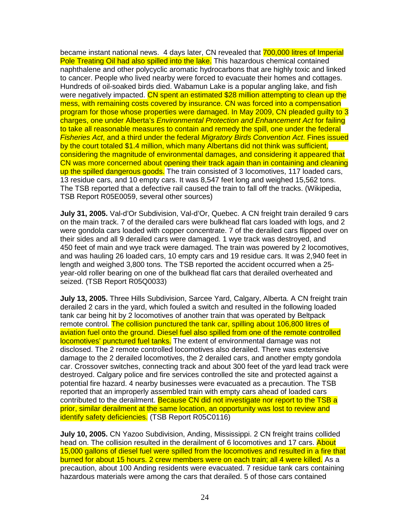became instant national news. 4 days later, CN revealed that 700,000 litres of Imperial Pole Treating Oil had also spilled into the lake. This hazardous chemical contained naphthalene and other polycyclic aromatic hydrocarbons that are highly toxic and linked to cancer. People who lived nearby were forced to evacuate their homes and cottages. Hundreds of oil-soaked birds died. Wabamun Lake is a popular angling lake, and fish were negatively impacted. CN spent an estimated \$28 million attempting to clean up the mess, with remaining costs covered by insurance. CN was forced into a compensation program for those whose properties were damaged. In May 2009, CN pleaded guilty to 3 charges, one under Alberta's Environmental Protection and Enhancement Act for failing to take all reasonable measures to contain and remedy the spill, one under the federal Fisheries Act, and a third under the federal Migratory Birds Convention Act. Fines issued by the court totaled \$1.4 million, which many Albertans did not think was sufficient, considering the magnitude of environmental damages, and considering it appeared that CN was more concerned about opening their track again than in containing and cleaning up the spilled dangerous goods. The train consisted of 3 locomotives, 117 loaded cars, 13 residue cars, and 10 empty cars. It was 8,547 feet long and weighed 15,562 tons. The TSB reported that a defective rail caused the train to fall off the tracks. (Wikipedia, TSB Report R05E0059, several other sources)

**July 31, 2005.** Val-d'Or Subdivision, Val-d'Or, Quebec. A CN freight train derailed 9 cars on the main track. 7 of the derailed cars were bulkhead flat cars loaded with logs, and 2 were gondola cars loaded with copper concentrate. 7 of the derailed cars flipped over on their sides and all 9 derailed cars were damaged. 1 wye track was destroyed, and 450 feet of main and wye track were damaged. The train was powered by 2 locomotives, and was hauling 26 loaded cars, 10 empty cars and 19 residue cars. It was 2,940 feet in length and weighed 3,800 tons. The TSB reported the accident occurred when a 25 year-old roller bearing on one of the bulkhead flat cars that derailed overheated and seized. (TSB Report R05Q0033)

**July 13, 2005.** Three Hills Subdivision, Sarcee Yard, Calgary, Alberta. A CN freight train derailed 2 cars in the yard, which fouled a switch and resulted in the following loaded tank car being hit by 2 locomotives of another train that was operated by Beltpack remote control. The collision punctured the tank car, spilling about 106,800 litres of aviation fuel onto the ground. Diesel fuel also spilled from one of the remote controlled locomotives' punctured fuel tanks. The extent of environmental damage was not disclosed. The 2 remote controlled locomotives also derailed. There was extensive damage to the 2 derailed locomotives, the 2 derailed cars, and another empty gondola car. Crossover switches, connecting track and about 300 feet of the yard lead track were destroyed. Calgary police and fire services controlled the site and protected against a potential fire hazard. 4 nearby businesses were evacuated as a precaution. The TSB reported that an improperly assembled train with empty cars ahead of loaded cars contributed to the derailment. Because CN did not investigate nor report to the TSB a prior, similar derailment at the same location, an opportunity was lost to review and identify safety deficiencies. (TSB Report R05C0116)

**July 10, 2005.** CN Yazoo Subdivision, Anding, Mississippi. 2 CN freight trains collided head on. The collision resulted in the derailment of 6 locomotives and 17 cars. About 15,000 gallons of diesel fuel were spilled from the locomotives and resulted in a fire that burned for about 15 hours. 2 crew members were on each train; all 4 were killed. As a precaution, about 100 Anding residents were evacuated. 7 residue tank cars containing hazardous materials were among the cars that derailed. 5 of those cars contained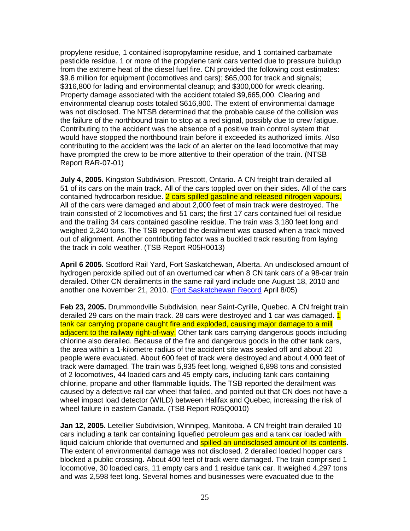propylene residue, 1 contained isopropylamine residue, and 1 contained carbamate pesticide residue. 1 or more of the propylene tank cars vented due to pressure buildup from the extreme heat of the diesel fuel fire. CN provided the following cost estimates: \$9.6 million for equipment (locomotives and cars); \$65,000 for track and signals; \$316,800 for lading and environmental cleanup; and \$300,000 for wreck clearing. Property damage associated with the accident totaled \$9,665,000. Clearing and environmental cleanup costs totaled \$616,800. The extent of environmental damage was not disclosed. The NTSB determined that the probable cause of the collision was the failure of the northbound train to stop at a red signal, possibly due to crew fatigue. Contributing to the accident was the absence of a positive train control system that would have stopped the northbound train before it exceeded its authorized limits. Also contributing to the accident was the lack of an alerter on the lead locomotive that may have prompted the crew to be more attentive to their operation of the train. (NTSB Report RAR-07-01)

**July 4, 2005.** Kingston Subdivision, Prescott, Ontario. A CN freight train derailed all 51 of its cars on the main track. All of the cars toppled over on their sides. All of the cars contained hydrocarbon residue. 2 cars spilled gasoline and released nitrogen vapours. All of the cars were damaged and about 2,000 feet of main track were destroyed. The train consisted of 2 locomotives and 51 cars; the first 17 cars contained fuel oil residue and the trailing 34 cars contained gasoline residue. The train was 3,180 feet long and weighed 2,240 tons. The TSB reported the derailment was caused when a track moved out of alignment. Another contributing factor was a buckled track resulting from laying the track in cold weather. (TSB Report R05H0013)

**April 6 2005.** Scotford Rail Yard, Fort Saskatchewan, Alberta. An undisclosed amount of hydrogen peroxide spilled out of an overturned car when 8 CN tank cars of a 98-car train derailed. Other CN derailments in the same rail yard include one August 18, 2010 and another one November 21, 2010. (Fort Saskatchewan Record April 8/05)

**Feb 23, 2005.** Drummondville Subdivision, near Saint-Cyrille, Quebec. A CN freight train derailed 29 cars on the main track. 28 cars were destroyed and 1 car was damaged. 1 tank car carrying propane caught fire and exploded, causing major damage to a mill adjacent to the railway right-of-way. Other tank cars carrying dangerous goods including chlorine also derailed. Because of the fire and dangerous goods in the other tank cars, the area within a 1-kilometre radius of the accident site was sealed off and about 20 people were evacuated. About 600 feet of track were destroyed and about 4,000 feet of track were damaged. The train was 5,935 feet long, weighed 6,898 tons and consisted of 2 locomotives, 44 loaded cars and 45 empty cars, including tank cars containing chlorine, propane and other flammable liquids. The TSB reported the derailment was caused by a defective rail car wheel that failed, and pointed out that CN does not have a wheel impact load detector (WILD) between Halifax and Quebec, increasing the risk of wheel failure in eastern Canada. (TSB Report R05Q0010)

**Jan 12, 2005.** Letellier Subdivision, Winnipeg, Manitoba. A CN freight train derailed 10 cars including a tank car containing liquefied petroleum gas and a tank car loaded with liquid calcium chloride that overturned and **spilled an undisclosed amount of its contents**. The extent of environmental damage was not disclosed. 2 derailed loaded hopper cars blocked a public crossing. About 400 feet of track were damaged. The train comprised 1 locomotive, 30 loaded cars, 11 empty cars and 1 residue tank car. It weighed 4,297 tons and was 2,598 feet long. Several homes and businesses were evacuated due to the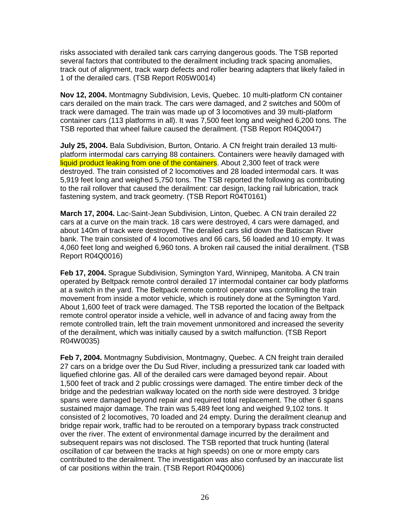risks associated with derailed tank cars carrying dangerous goods. The TSB reported several factors that contributed to the derailment including track spacing anomalies, track out of alignment, track warp defects and roller bearing adapters that likely failed in 1 of the derailed cars. (TSB Report R05W0014)

**Nov 12, 2004.** Montmagny Subdivision, Levis, Quebec. 10 multi-platform CN container cars derailed on the main track. The cars were damaged, and 2 switches and 500m of track were damaged. The train was made up of 3 locomotives and 39 multi-platform container cars (113 platforms in all). It was 7,500 feet long and weighed 6,200 tons. The TSB reported that wheel failure caused the derailment. (TSB Report R04Q0047)

**July 25, 2004.** Bala Subdivision, Burton, Ontario. A CN freight train derailed 13 multiplatform intermodal cars carrying 88 containers. Containers were heavily damaged with liquid product leaking from one of the containers. About 2,300 feet of track were destroyed. The train consisted of 2 locomotives and 28 loaded intermodal cars. It was 5,919 feet long and weighed 5,750 tons. The TSB reported the following as contributing to the rail rollover that caused the derailment: car design, lacking rail lubrication, track fastening system, and track geometry. (TSB Report R04T0161)

**March 17, 2004.** Lac-Saint-Jean Subdivision, Linton, Quebec. A CN train derailed 22 cars at a curve on the main track. 18 cars were destroyed, 4 cars were damaged, and about 140m of track were destroyed. The derailed cars slid down the Batiscan River bank. The train consisted of 4 locomotives and 66 cars, 56 loaded and 10 empty. It was 4,060 feet long and weighed 6,960 tons. A broken rail caused the initial derailment. (TSB Report R04Q0016)

**Feb 17, 2004.** Sprague Subdivision, Symington Yard, Winnipeg, Manitoba. A CN train operated by Beltpack remote control derailed 17 intermodal container car body platforms at a switch in the yard. The Beltpack remote control operator was controlling the train movement from inside a motor vehicle, which is routinely done at the Symington Yard. About 1,600 feet of track were damaged. The TSB reported the location of the Beltpack remote control operator inside a vehicle, well in advance of and facing away from the remote controlled train, left the train movement unmonitored and increased the severity of the derailment, which was initially caused by a switch malfunction. (TSB Report R04W0035)

**Feb 7, 2004.** Montmagny Subdivision, Montmagny, Quebec. A CN freight train derailed 27 cars on a bridge over the Du Sud River, including a pressurized tank car loaded with liquefied chlorine gas. All of the derailed cars were damaged beyond repair. About 1,500 feet of track and 2 public crossings were damaged. The entire timber deck of the bridge and the pedestrian walkway located on the north side were destroyed. 3 bridge spans were damaged beyond repair and required total replacement. The other 6 spans sustained major damage. The train was 5,489 feet long and weighed 9,102 tons. It consisted of 2 locomotives, 70 loaded and 24 empty. During the derailment cleanup and bridge repair work, traffic had to be rerouted on a temporary bypass track constructed over the river. The extent of environmental damage incurred by the derailment and subsequent repairs was not disclosed. The TSB reported that truck hunting (lateral oscillation of car between the tracks at high speeds) on one or more empty cars contributed to the derailment. The investigation was also confused by an inaccurate list of car positions within the train. (TSB Report R04Q0006)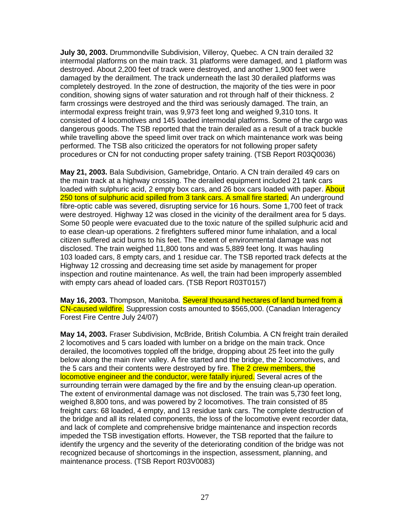**July 30, 2003.** Drummondville Subdivision, Villeroy, Quebec. A CN train derailed 32 intermodal platforms on the main track. 31 platforms were damaged, and 1 platform was destroyed. About 2,200 feet of track were destroyed, and another 1,900 feet were damaged by the derailment. The track underneath the last 30 derailed platforms was completely destroyed. In the zone of destruction, the majority of the ties were in poor condition, showing signs of water saturation and rot through half of their thickness. 2 farm crossings were destroyed and the third was seriously damaged. The train, an intermodal express freight train, was 9,973 feet long and weighed 9,310 tons. It consisted of 4 locomotives and 145 loaded intermodal platforms. Some of the cargo was dangerous goods. The TSB reported that the train derailed as a result of a track buckle while travelling above the speed limit over track on which maintenance work was being performed. The TSB also criticized the operators for not following proper safety procedures or CN for not conducting proper safety training. (TSB Report R03Q0036)

**May 21, 2003.** Bala Subdivision, Gamebridge, Ontario. A CN train derailed 49 cars on the main track at a highway crossing. The derailed equipment included 21 tank cars loaded with sulphuric acid, 2 empty box cars, and 26 box cars loaded with paper. About 250 tons of sulphuric acid spilled from 3 tank cars. A small fire started. An underground fibre-optic cable was severed, disrupting service for 16 hours. Some 1,700 feet of track were destroyed. Highway 12 was closed in the vicinity of the derailment area for 5 days. Some 50 people were evacuated due to the toxic nature of the spilled sulphuric acid and to ease clean-up operations. 2 firefighters suffered minor fume inhalation, and a local citizen suffered acid burns to his feet. The extent of environmental damage was not disclosed. The train weighed 11,800 tons and was 5,889 feet long. It was hauling 103 loaded cars, 8 empty cars, and 1 residue car. The TSB reported track defects at the Highway 12 crossing and decreasing time set aside by management for proper inspection and routine maintenance. As well, the train had been improperly assembled with empty cars ahead of loaded cars. (TSB Report R03T0157)

**May 16, 2003.** Thompson, Manitoba. Several thousand hectares of land burned from a CN-caused wildfire. Suppression costs amounted to \$565,000. (Canadian Interagency Forest Fire Centre July 24/07)

**May 14, 2003.** Fraser Subdivision, McBride, British Columbia. A CN freight train derailed 2 locomotives and 5 cars loaded with lumber on a bridge on the main track. Once derailed, the locomotives toppled off the bridge, dropping about 25 feet into the gully below along the main river valley. A fire started and the bridge, the 2 locomotives, and the 5 cars and their contents were destroyed by fire. The 2 crew members, the locomotive engineer and the conductor, were fatally injured. Several acres of the surrounding terrain were damaged by the fire and by the ensuing clean-up operation. The extent of environmental damage was not disclosed. The train was 5,730 feet long, weighed 8,800 tons, and was powered by 2 locomotives. The train consisted of 85 freight cars: 68 loaded, 4 empty, and 13 residue tank cars. The complete destruction of the bridge and all its related components, the loss of the locomotive event recorder data, and lack of complete and comprehensive bridge maintenance and inspection records impeded the TSB investigation efforts. However, the TSB reported that the failure to identify the urgency and the severity of the deteriorating condition of the bridge was not recognized because of shortcomings in the inspection, assessment, planning, and maintenance process. (TSB Report R03V0083)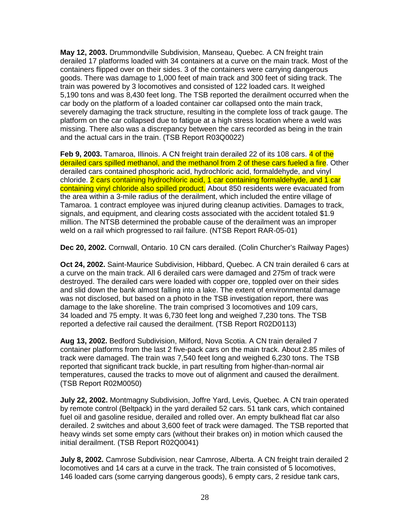**May 12, 2003.** Drummondville Subdivision, Manseau, Quebec. A CN freight train derailed 17 platforms loaded with 34 containers at a curve on the main track. Most of the containers flipped over on their sides. 3 of the containers were carrying dangerous goods. There was damage to 1,000 feet of main track and 300 feet of siding track. The train was powered by 3 locomotives and consisted of 122 loaded cars. It weighed 5,190 tons and was 8,430 feet long. The TSB reported the derailment occurred when the car body on the platform of a loaded container car collapsed onto the main track, severely damaging the track structure, resulting in the complete loss of track gauge. The platform on the car collapsed due to fatigue at a high stress location where a weld was missing. There also was a discrepancy between the cars recorded as being in the train and the actual cars in the train. (TSB Report R03Q0022)

Feb 9, 2003. Tamaroa, Illinois. A CN freight train derailed 22 of its 108 cars. 4 of the derailed cars spilled methanol, and the methanol from 2 of these cars fueled a fire. Other derailed cars contained phosphoric acid, hydrochloric acid, formaldehyde, and vinyl chloride. 2 cars containing hydrochloric acid, 1 car containing formaldehyde, and 1 car containing vinyl chloride also spilled product. About 850 residents were evacuated from the area within a 3-mile radius of the derailment, which included the entire village of Tamaroa. 1 contract employee was injured during cleanup activities. Damages to track, signals, and equipment, and clearing costs associated with the accident totaled \$1.9 million. The NTSB determined the probable cause of the derailment was an improper weld on a rail which progressed to rail failure. (NTSB Report RAR-05-01)

**Dec 20, 2002.** Cornwall, Ontario. 10 CN cars derailed. (Colin Churcher's Railway Pages)

**Oct 24, 2002.** Saint-Maurice Subdivision, Hibbard, Quebec. A CN train derailed 6 cars at a curve on the main track. All 6 derailed cars were damaged and 275m of track were destroyed. The derailed cars were loaded with copper ore, toppled over on their sides and slid down the bank almost falling into a lake. The extent of environmental damage was not disclosed, but based on a photo in the TSB investigation report, there was damage to the lake shoreline. The train comprised 3 locomotives and 109 cars, 34 loaded and 75 empty. It was 6,730 feet long and weighed 7,230 tons. The TSB reported a defective rail caused the derailment. (TSB Report R02D0113)

**Aug 13, 2002.** Bedford Subdivision, Milford, Nova Scotia. A CN train derailed 7 container platforms from the last 2 five-pack cars on the main track. About 2.85 miles of track were damaged. The train was 7,540 feet long and weighed 6,230 tons. The TSB reported that significant track buckle, in part resulting from higher-than-normal air temperatures, caused the tracks to move out of alignment and caused the derailment. (TSB Report R02M0050)

**July 22, 2002.** Montmagny Subdivision, Joffre Yard, Levis, Quebec. A CN train operated by remote control (Beltpack) in the yard derailed 52 cars. 51 tank cars, which contained fuel oil and gasoline residue, derailed and rolled over. An empty bulkhead flat car also derailed. 2 switches and about 3,600 feet of track were damaged. The TSB reported that heavy winds set some empty cars (without their brakes on) in motion which caused the initial derailment. (TSB Report R02Q0041)

**July 8, 2002.** Camrose Subdivision, near Camrose, Alberta. A CN freight train derailed 2 locomotives and 14 cars at a curve in the track. The train consisted of 5 locomotives, 146 loaded cars (some carrying dangerous goods), 6 empty cars, 2 residue tank cars,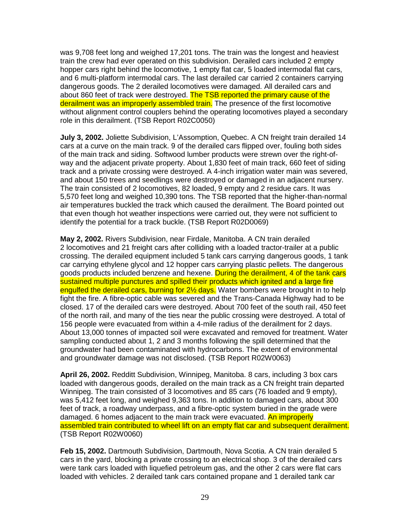was 9,708 feet long and weighed 17,201 tons. The train was the longest and heaviest train the crew had ever operated on this subdivision. Derailed cars included 2 empty hopper cars right behind the locomotive, 1 empty flat car, 5 loaded intermodal flat cars, and 6 multi-platform intermodal cars. The last derailed car carried 2 containers carrying dangerous goods. The 2 derailed locomotives were damaged. All derailed cars and about 860 feet of track were destroyed. The TSB reported the primary cause of the derailment was an improperly assembled train. The presence of the first locomotive without alignment control couplers behind the operating locomotives played a secondary role in this derailment. (TSB Report R02C0050)

**July 3, 2002.** Joliette Subdivision, L'Assomption, Quebec. A CN freight train derailed 14 cars at a curve on the main track. 9 of the derailed cars flipped over, fouling both sides of the main track and siding. Softwood lumber products were strewn over the right-ofway and the adjacent private property. About 1,830 feet of main track, 660 feet of siding track and a private crossing were destroyed. A 4-inch irrigation water main was severed, and about 150 trees and seedlings were destroyed or damaged in an adjacent nursery. The train consisted of 2 locomotives, 82 loaded, 9 empty and 2 residue cars. It was 5,570 feet long and weighed 10,390 tons. The TSB reported that the higher-than-normal air temperatures buckled the track which caused the derailment. The Board pointed out that even though hot weather inspections were carried out, they were not sufficient to identify the potential for a track buckle. (TSB Report R02D0069)

**May 2, 2002.** Rivers Subdivision, near Firdale, Manitoba. A CN train derailed 2 locomotives and 21 freight cars after colliding with a loaded tractor-trailer at a public crossing. The derailed equipment included 5 tank cars carrying dangerous goods, 1 tank car carrying ethylene glycol and 12 hopper cars carrying plastic pellets. The dangerous goods products included benzene and hexene. During the derailment, 4 of the tank cars sustained multiple punctures and spilled their products which ignited and a large fire engulfed the derailed cars, burning for 2<sup>1/2</sup> days. Water bombers were brought in to help fight the fire. A fibre-optic cable was severed and the Trans-Canada Highway had to be closed. 17 of the derailed cars were destroyed. About 700 feet of the south rail, 450 feet of the north rail, and many of the ties near the public crossing were destroyed. A total of 156 people were evacuated from within a 4-mile radius of the derailment for 2 days. About 13,000 tonnes of impacted soil were excavated and removed for treatment. Water sampling conducted about 1, 2 and 3 months following the spill determined that the groundwater had been contaminated with hydrocarbons. The extent of environmental and groundwater damage was not disclosed. (TSB Report R02W0063)

**April 26, 2002.** Redditt Subdivision, Winnipeg, Manitoba. 8 cars, including 3 box cars loaded with dangerous goods, derailed on the main track as a CN freight train departed Winnipeg. The train consisted of 3 locomotives and 85 cars (76 loaded and 9 empty), was 5,412 feet long, and weighed 9,363 tons. In addition to damaged cars, about 300 feet of track, a roadway underpass, and a fibre-optic system buried in the grade were damaged. 6 homes adjacent to the main track were evacuated. An improperly assembled train contributed to wheel lift on an empty flat car and subsequent derailment. (TSB Report R02W0060)

**Feb 15, 2002.** Dartmouth Subdivision, Dartmouth, Nova Scotia. A CN train derailed 5 cars in the yard, blocking a private crossing to an electrical shop. 3 of the derailed cars were tank cars loaded with liquefied petroleum gas, and the other 2 cars were flat cars loaded with vehicles. 2 derailed tank cars contained propane and 1 derailed tank car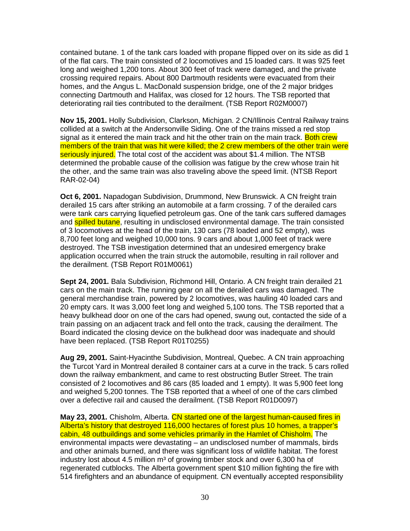contained butane. 1 of the tank cars loaded with propane flipped over on its side as did 1 of the flat cars. The train consisted of 2 locomotives and 15 loaded cars. It was 925 feet long and weighed 1,200 tons. About 300 feet of track were damaged, and the private crossing required repairs. About 800 Dartmouth residents were evacuated from their homes, and the Angus L. MacDonald suspension bridge, one of the 2 major bridges connecting Dartmouth and Halifax, was closed for 12 hours. The TSB reported that deteriorating rail ties contributed to the derailment. (TSB Report R02M0007)

**Nov 15, 2001.** Holly Subdivision, Clarkson, Michigan. 2 CN/Illinois Central Railway trains collided at a switch at the Andersonville Siding. One of the trains missed a red stop signal as it entered the main track and hit the other train on the main track. Both crew members of the train that was hit were killed; the 2 crew members of the other train were seriously injured. The total cost of the accident was about \$1.4 million. The NTSB determined the probable cause of the collision was fatigue by the crew whose train hit the other, and the same train was also traveling above the speed limit. (NTSB Report RAR-02-04)

**Oct 6, 2001.** Napadogan Subdivision, Drummond, New Brunswick. A CN freight train derailed 15 cars after striking an automobile at a farm crossing. 7 of the derailed cars were tank cars carrying liquefied petroleum gas. One of the tank cars suffered damages and **spilled butane**, resulting in undisclosed environmental damage. The train consisted of 3 locomotives at the head of the train, 130 cars (78 loaded and 52 empty), was 8,700 feet long and weighed 10,000 tons. 9 cars and about 1,000 feet of track were destroyed. The TSB investigation determined that an undesired emergency brake application occurred when the train struck the automobile, resulting in rail rollover and the derailment. (TSB Report R01M0061)

**Sept 24, 2001.** Bala Subdivision, Richmond Hill, Ontario. A CN freight train derailed 21 cars on the main track. The running gear on all the derailed cars was damaged. The general merchandise train, powered by 2 locomotives, was hauling 40 loaded cars and 20 empty cars. It was 3,000 feet long and weighed 5,100 tons. The TSB reported that a heavy bulkhead door on one of the cars had opened, swung out, contacted the side of a train passing on an adjacent track and fell onto the track, causing the derailment. The Board indicated the closing device on the bulkhead door was inadequate and should have been replaced. (TSB Report R01T0255)

**Aug 29, 2001.** Saint-Hyacinthe Subdivision, Montreal, Quebec. A CN train approaching the Turcot Yard in Montreal derailed 8 container cars at a curve in the track. 5 cars rolled down the railway embankment, and came to rest obstructing Butler Street. The train consisted of 2 locomotives and 86 cars (85 loaded and 1 empty). It was 5,900 feet long and weighed 5,200 tonnes. The TSB reported that a wheel of one of the cars climbed over a defective rail and caused the derailment. (TSB Report R01D0097)

**May 23, 2001.** Chisholm, Alberta. CN started one of the largest human-caused fires in Alberta's history that destroyed 116,000 hectares of forest plus 10 homes, a trapper's cabin, 48 outbuildings and some vehicles primarily in the Hamlet of Chisholm. The environmental impacts were devastating – an undisclosed number of mammals, birds and other animals burned, and there was significant loss of wildlife habitat. The forest industry lost about 4.5 million  $m<sup>3</sup>$  of growing timber stock and over 6,300 ha of regenerated cutblocks. The Alberta government spent \$10 million fighting the fire with 514 firefighters and an abundance of equipment. CN eventually accepted responsibility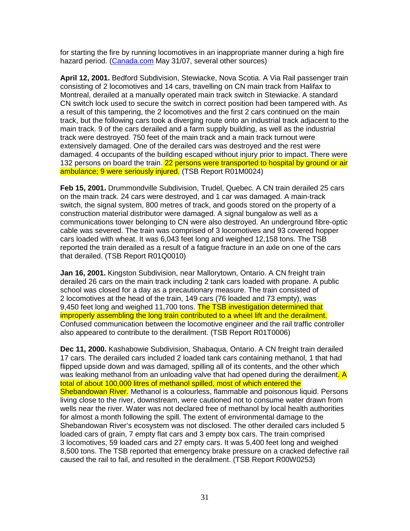for starting the fire by running locomotives in an inappropriate manner during a high fire hazard period. (Canada.com May 31/07, several other sources)

**April 12, 2001.** Bedford Subdivision, Stewiacke, Nova Scotia. A Via Rail passenger train consisting of 2 locomotives and 14 cars, travelling on CN main track from Halifax to Montreal, derailed at a manually operated main track switch in Stewiacke. A standard CN switch lock used to secure the switch in correct position had been tampered with. As a result of this tampering, the 2 locomotives and the first 2 cars continued on the main track, but the following cars took a diverging route onto an industrial track adjacent to the main track. 9 of the cars derailed and a farm supply building, as well as the industrial track were destroyed. 750 feet of the main track and a main track turnout were extensively damaged. One of the derailed cars was destroyed and the rest were damaged. 4 occupants of the building escaped without injury prior to impact. There were 132 persons on board the train. 22 persons were transported to hospital by ground or air ambulance; 9 were seriously injured. (TSB Report R01M0024)

**Feb 15, 2001.** Drummondville Subdivision, Trudel, Quebec. A CN train derailed 25 cars on the main track. 24 cars were destroyed, and 1 car was damaged. A main-track switch, the signal system, 800 metres of track, and goods stored on the property of a construction material distributor were damaged. A signal bungalow as well as a communications tower belonging to CN were also destroyed. An underground fibre-optic cable was severed. The train was comprised of 3 locomotives and 93 covered hopper cars loaded with wheat. It was 6,043 feet long and weighed 12,158 tons. The TSB reported the train derailed as a result of a fatigue fracture in an axle on one of the cars that derailed. (TSB Report R01Q0010)

**Jan 16, 2001.** Kingston Subdivision, near Mallorytown, Ontario. A CN freight train derailed 26 cars on the main track including 2 tank cars loaded with propane. A public school was closed for a day as a precautionary measure. The train consisted of 2 locomotives at the head of the train, 149 cars (76 loaded and 73 empty), was 9,450 feet long and weighed 11,700 tons. The TSB investigation determined that improperly assembling the long train contributed to a wheel lift and the derailment. Confused communication between the locomotive engineer and the rail traffic controller also appeared to contribute to the derailment. (TSB Report R01T0006)

**Dec 11, 2000.** Kashabowie Subdivision, Shabaqua, Ontario. A CN freight train derailed 17 cars. The derailed cars included 2 loaded tank cars containing methanol, 1 that had flipped upside down and was damaged, spilling all of its contents, and the other which was leaking methanol from an unloading valve that had opened during the derailment. A total of about 100,000 litres of methanol spilled, most of which entered the Shebandowan River. Methanol is a colourless, flammable and poisonous liquid. Persons living close to the river, downstream, were cautioned not to consume water drawn from wells near the river. Water was not declared free of methanol by local health authorities for almost a month following the spill. The extent of environmental damage to the Shebandowan River's ecosystem was not disclosed. The other derailed cars included 5 loaded cars of grain, 7 empty flat cars and 3 empty box cars. The train comprised 3 locomotives, 59 loaded cars and 27 empty cars. It was 5,400 feet long and weighed 8,500 tons. The TSB reported that emergency brake pressure on a cracked defective rail caused the rail to fail, and resulted in the derailment. (TSB Report R00W0253)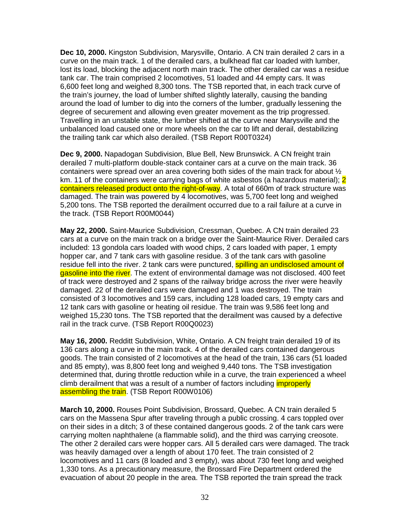**Dec 10, 2000.** Kingston Subdivision, Marysville, Ontario. A CN train derailed 2 cars in a curve on the main track. 1 of the derailed cars, a bulkhead flat car loaded with lumber, lost its load, blocking the adjacent north main track. The other derailed car was a residue tank car. The train comprised 2 locomotives, 51 loaded and 44 empty cars. It was 6,600 feet long and weighed 8,300 tons. The TSB reported that, in each track curve of the train's journey, the load of lumber shifted slightly laterally, causing the banding around the load of lumber to dig into the corners of the lumber, gradually lessening the degree of securement and allowing even greater movement as the trip progressed. Travelling in an unstable state, the lumber shifted at the curve near Marysville and the unbalanced load caused one or more wheels on the car to lift and derail, destabilizing the trailing tank car which also derailed. (TSB Report R00T0324)

**Dec 9, 2000.** Napadogan Subdivision, Blue Bell, New Brunswick. A CN freight train derailed 7 multi-platform double-stack container cars at a curve on the main track. 36 containers were spread over an area covering both sides of the main track for about  $\frac{1}{2}$ km. 11 of the containers were carrying bags of white asbestos (a hazardous material); 2 containers released product onto the right-of-way. A total of 660m of track structure was damaged. The train was powered by 4 locomotives, was 5,700 feet long and weighed 5,200 tons. The TSB reported the derailment occurred due to a rail failure at a curve in the track. (TSB Report R00M0044)

**May 22, 2000.** Saint-Maurice Subdivision, Cressman, Quebec. A CN train derailed 23 cars at a curve on the main track on a bridge over the Saint-Maurice River. Derailed cars included: 13 gondola cars loaded with wood chips, 2 cars loaded with paper, 1 empty hopper car, and 7 tank cars with gasoline residue. 3 of the tank cars with gasoline residue fell into the river. 2 tank cars were punctured, **spilling an undisclosed amount of** gasoline into the river. The extent of environmental damage was not disclosed. 400 feet of track were destroyed and 2 spans of the railway bridge across the river were heavily damaged. 22 of the derailed cars were damaged and 1 was destroyed. The train consisted of 3 locomotives and 159 cars, including 128 loaded cars, 19 empty cars and 12 tank cars with gasoline or heating oil residue. The train was 9,586 feet long and weighed 15,230 tons. The TSB reported that the derailment was caused by a defective rail in the track curve. (TSB Report R00Q0023)

**May 16, 2000.** Redditt Subdivision, White, Ontario. A CN freight train derailed 19 of its 136 cars along a curve in the main track. 4 of the derailed cars contained dangerous goods. The train consisted of 2 locomotives at the head of the train, 136 cars (51 loaded and 85 empty), was 8,800 feet long and weighed 9,440 tons. The TSB investigation determined that, during throttle reduction while in a curve, the train experienced a wheel climb derailment that was a result of a number of factors including *improperly* assembling the train. (TSB Report R00W0106)

**March 10, 2000.** Rouses Point Subdivision, Brossard, Quebec. A CN train derailed 5 cars on the Massena Spur after traveling through a public crossing. 4 cars toppled over on their sides in a ditch; 3 of these contained dangerous goods. 2 of the tank cars were carrying molten naphthalene (a flammable solid), and the third was carrying creosote. The other 2 derailed cars were hopper cars. All 5 derailed cars were damaged. The track was heavily damaged over a length of about 170 feet. The train consisted of 2 locomotives and 11 cars (8 loaded and 3 empty), was about 730 feet long and weighed 1,330 tons. As a precautionary measure, the Brossard Fire Department ordered the evacuation of about 20 people in the area. The TSB reported the train spread the track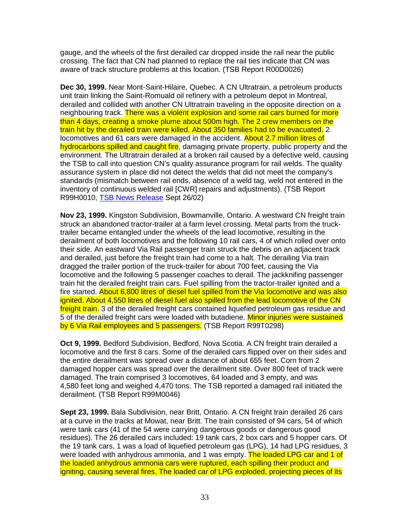gauge, and the wheels of the first derailed car dropped inside the rail near the public crossing. The fact that CN had planned to replace the rail ties indicate that CN was aware of track structure problems at this location. (TSB Report R00D0026)

**Dec 30, 1999.** Near Mont-Saint-Hilaire, Quebec. A CN Ultratrain, a petroleum products unit train linking the Saint-Romuald oil refinery with a petroleum depot in Montreal, derailed and collided with another CN Ultratrain traveling in the opposite direction on a neighbouring track. There was a violent explosion and some rail cars burned for more than 4 days, creating a smoke plume about 500m high. The 2 crew members on the train hit by the derailed train were killed. About 350 families had to be evacuated. 2 locomotives and 61 cars were damaged in the accident. About 2.7 million litres of hydrocarbons spilled and caught fire, damaging private property, public property and the environment. The Ultratrain derailed at a broken rail caused by a defective weld, causing the TSB to call into question CN's quality assurance program for rail welds. The quality assurance system in place did not detect the welds that did not meet the company's standards (mismatch between rail ends, absence of a weld tag, weld not entered in the inventory of continuous welded rail [CWR] repairs and adjustments). (TSB Report R99H0010, TSB News Release Sept 26/02)

**Nov 23, 1999.** Kingston Subdivision, Bowmanville, Ontario. A westward CN freight train struck an abandoned tractor-trailer at a farm level crossing. Metal parts from the trucktrailer became entangled under the wheels of the lead locomotive, resulting in the derailment of both locomotives and the following 10 rail cars, 4 of which rolled over onto their side. An eastward Via Rail passenger train struck the debris on an adjacent track and derailed, just before the freight train had come to a halt. The derailing Via train dragged the trailer portion of the truck-trailer for about 700 feet, causing the Via locomotive and the following 5 passenger coaches to derail. The jackknifing passenger train hit the derailed freight train cars. Fuel spilling from the tractor-trailer ignited and a fire started. About 6,800 litres of diesel fuel spilled from the Via locomotive and was also ignited. About 4,550 litres of diesel fuel also spilled from the lead locomotive of the CN freight train. 3 of the derailed freight cars contained liquefied petroleum gas residue and 5 of the derailed freight cars were loaded with butadiene. Minor injuries were sustained by 6 Via Rail employees and 5 passengers. (TSB Report R99T0298)

**Oct 9, 1999.** Bedford Subdivision, Bedford, Nova Scotia. A CN freight train derailed a locomotive and the first 8 cars. Some of the derailed cars flipped over on their sides and the entire derailment was spread over a distance of about 655 feet. Corn from 2 damaged hopper cars was spread over the derailment site. Over 800 feet of track were damaged. The train comprised 3 locomotives, 64 loaded and 3 empty, and was 4,580 feet long and weighed 4,470 tons. The TSB reported a damaged rail initiated the derailment. (TSB Report R99M0046)

**Sept 23, 1999.** Bala Subdivision, near Britt, Ontario. A CN freight train derailed 26 cars at a curve in the tracks at Mowat, near Britt. The train consisted of 94 cars, 54 of which were tank cars (41 of the 54 were carrying dangerous goods or dangerous good residues). The 26 derailed cars included: 19 tank cars, 2 box cars and 5 hopper cars. Of the 19 tank cars, 1 was a load of liquefied petroleum gas (LPG), 14 had LPG residues, 3 were loaded with anhydrous ammonia, and 1 was empty. The loaded LPG car and 1 of the loaded anhydrous ammonia cars were ruptured, each spilling their product and igniting, causing several fires. The loaded car of LPG exploded, projecting pieces of its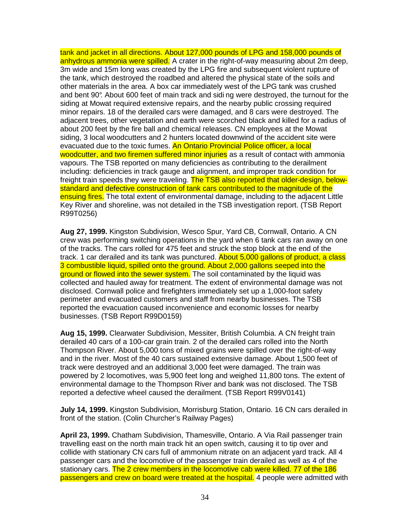tank and jacket in all directions. About 127,000 pounds of LPG and 158,000 pounds of anhydrous ammonia were spilled. A crater in the right-of-way measuring about 2m deep, 3m wide and 15m long was created by the LPG fire and subsequent violent rupture of the tank, which destroyed the roadbed and altered the physical state of the soils and other materials in the area. A box car immediately west of the LPG tank was crushed and bent 90°. About 600 feet of main track and sidi ng were destroyed, the turnout for the siding at Mowat required extensive repairs, and the nearby public crossing required minor repairs. 18 of the derailed cars were damaged, and 8 cars were destroyed. The adjacent trees, other vegetation and earth were scorched black and killed for a radius of about 200 feet by the fire ball and chemical releases. CN employees at the Mowat siding, 3 local woodcutters and 2 hunters located downwind of the accident site were evacuated due to the toxic fumes. An Ontario Provincial Police officer, a local woodcutter, and two firemen suffered minor injuries as a result of contact with ammonia vapours. The TSB reported on many deficiencies as contributing to the derailment including: deficiencies in track gauge and alignment, and improper track condition for freight train speeds they were traveling. The TSB also reported that older-design, belowstandard and defective construction of tank cars contributed to the magnitude of the ensuing fires. The total extent of environmental damage, including to the adjacent Little Key River and shoreline, was not detailed in the TSB investigation report. (TSB Report R99T0256)

**Aug 27, 1999.** Kingston Subdivision, Wesco Spur, Yard CB, Cornwall, Ontario. A CN crew was performing switching operations in the yard when 6 tank cars ran away on one of the tracks. The cars rolled for 475 feet and struck the stop block at the end of the track. 1 car derailed and its tank was punctured. About 5,000 gallons of product, a class 3 combustible liquid, spilled onto the ground. About 2,000 gallons seeped into the ground or flowed into the sewer system. The soil contaminated by the liquid was collected and hauled away for treatment. The extent of environmental damage was not disclosed. Cornwall police and firefighters immediately set up a 1,000-foot safety perimeter and evacuated customers and staff from nearby businesses. The TSB reported the evacuation caused inconvenience and economic losses for nearby businesses. (TSB Report R99D0159)

**Aug 15, 1999.** Clearwater Subdivision, Messiter, British Columbia. A CN freight train derailed 40 cars of a 100-car grain train. 2 of the derailed cars rolled into the North Thompson River. About 5,000 tons of mixed grains were spilled over the right-of-way and in the river. Most of the 40 cars sustained extensive damage. About 1,500 feet of track were destroyed and an additional 3,000 feet were damaged. The train was powered by 2 locomotives, was 5,900 feet long and weighed 11,800 tons. The extent of environmental damage to the Thompson River and bank was not disclosed. The TSB reported a defective wheel caused the derailment. (TSB Report R99V0141)

**July 14, 1999.** Kingston Subdivision, Morrisburg Station, Ontario. 16 CN cars derailed in front of the station. (Colin Churcher's Railway Pages)

**April 23, 1999.** Chatham Subdivision, Thamesville, Ontario. A Via Rail passenger train travelling east on the north main track hit an open switch, causing it to tip over and collide with stationary CN cars full of ammonium nitrate on an adjacent yard track. All 4 passenger cars and the locomotive of the passenger train derailed as well as 4 of the stationary cars. The 2 crew members in the locomotive cab were killed. 77 of the 186 passengers and crew on board were treated at the hospital. 4 people were admitted with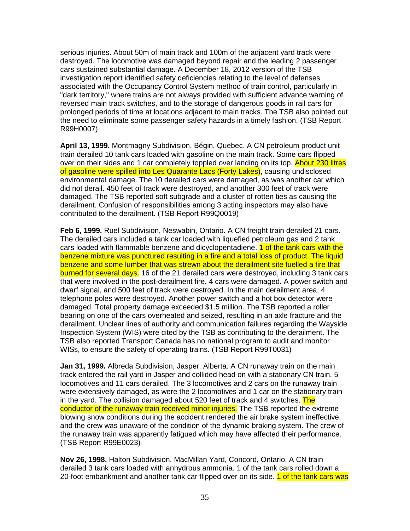serious injuries. About 50m of main track and 100m of the adjacent yard track were destroyed. The locomotive was damaged beyond repair and the leading 2 passenger cars sustained substantial damage. A December 18, 2012 version of the TSB investigation report identified safety deficiencies relating to the level of defenses associated with the Occupancy Control System method of train control, particularly in "dark territory," where trains are not always provided with sufficient advance warning of reversed main track switches, and to the storage of dangerous goods in rail cars for prolonged periods of time at locations adjacent to main tracks. The TSB also pointed out the need to eliminate some passenger safety hazards in a timely fashion. (TSB Report R99H0007)

**April 13, 1999.** Montmagny Subdivision, Bégin, Quebec. A CN petroleum product unit train derailed 10 tank cars loaded with gasoline on the main track. Some cars flipped over on their sides and 1 car completely toppled over landing on its top. About 230 litres of gasoline were spilled into Les Quarante Lacs (Forty Lakes), causing undisclosed environmental damage. The 10 derailed cars were damaged, as was another car which did not derail. 450 feet of track were destroyed, and another 300 feet of track were damaged. The TSB reported soft subgrade and a cluster of rotten ties as causing the derailment. Confusion of responsibilities among 3 acting inspectors may also have contributed to the derailment. (TSB Report R99Q0019)

**Feb 6, 1999.** Ruel Subdivision, Neswabin, Ontario. A CN freight train derailed 21 cars. The derailed cars included a tank car loaded with liquefied petroleum gas and 2 tank cars loaded with flammable benzene and dicyclopentadiene. **1 of the tank cars with the** benzene mixture was punctured resulting in a fire and a total loss of product. The liquid benzene and some lumber that was strewn about the derailment site fuelled a fire that burned for several days. 16 of the 21 derailed cars were destroyed, including 3 tank cars that were involved in the post-derailment fire. 4 cars were damaged. A power switch and dwarf signal, and 500 feet of track were destroyed. In the main derailment area, 4 telephone poles were destroyed. Another power switch and a hot box detector were damaged. Total property damage exceeded \$1.5 million. The TSB reported a roller bearing on one of the cars overheated and seized, resulting in an axle fracture and the derailment. Unclear lines of authority and communication failures regarding the Wayside Inspection System (WIS) were cited by the TSB as contributing to the derailment. The TSB also reported Transport Canada has no national program to audit and monitor WISs, to ensure the safety of operating trains. (TSB Report R99T0031)

**Jan 31, 1999.** Albreda Subdivision, Jasper, Alberta. A CN runaway train on the main track entered the rail yard in Jasper and collided head on with a stationary CN train. 5 locomotives and 11 cars derailed. The 3 locomotives and 2 cars on the runaway train were extensively damaged, as were the 2 locomotives and 1 car on the stationary train in the yard. The collision damaged about 520 feet of track and 4 switches. The conductor of the runaway train received minor injuries. The TSB reported the extreme blowing snow conditions during the accident rendered the air brake system ineffective, and the crew was unaware of the condition of the dynamic braking system. The crew of the runaway train was apparently fatigued which may have affected their performance. (TSB Report R99E0023)

**Nov 26, 1998.** Halton Subdivision, MacMillan Yard, Concord, Ontario. A CN train derailed 3 tank cars loaded with anhydrous ammonia. 1 of the tank cars rolled down a 20-foot embankment and another tank car flipped over on its side. 1 of the tank cars was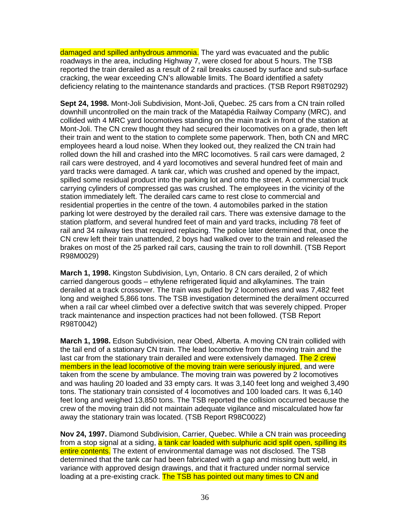damaged and spilled anhydrous ammonia. The yard was evacuated and the public roadways in the area, including Highway 7, were closed for about 5 hours. The TSB reported the train derailed as a result of 2 rail breaks caused by surface and sub-surface cracking, the wear exceeding CN's allowable limits. The Board identified a safety deficiency relating to the maintenance standards and practices. (TSB Report R98T0292)

**Sept 24, 1998.** Mont-Joli Subdivision, Mont-Joli, Quebec. 25 cars from a CN train rolled downhill uncontrolled on the main track of the Matapédia Railway Company (MRC), and collided with 4 MRC yard locomotives standing on the main track in front of the station at Mont-Joli. The CN crew thought they had secured their locomotives on a grade, then left their train and went to the station to complete some paperwork. Then, both CN and MRC employees heard a loud noise. When they looked out, they realized the CN train had rolled down the hill and crashed into the MRC locomotives. 5 rail cars were damaged, 2 rail cars were destroyed, and 4 yard locomotives and several hundred feet of main and yard tracks were damaged. A tank car, which was crushed and opened by the impact, spilled some residual product into the parking lot and onto the street. A commercial truck carrying cylinders of compressed gas was crushed. The employees in the vicinity of the station immediately left. The derailed cars came to rest close to commercial and residential properties in the centre of the town. 4 automobiles parked in the station parking lot were destroyed by the derailed rail cars. There was extensive damage to the station platform, and several hundred feet of main and yard tracks, including 78 feet of rail and 34 railway ties that required replacing. The police later determined that, once the CN crew left their train unattended, 2 boys had walked over to the train and released the brakes on most of the 25 parked rail cars, causing the train to roll downhill. (TSB Report R98M0029)

**March 1, 1998.** Kingston Subdivision, Lyn, Ontario. 8 CN cars derailed, 2 of which carried dangerous goods – ethylene refrigerated liquid and alkylamines. The train derailed at a track crossover. The train was pulled by 2 locomotives and was 7,482 feet long and weighed 5,866 tons. The TSB investigation determined the derailment occurred when a rail car wheel climbed over a defective switch that was severely chipped. Proper track maintenance and inspection practices had not been followed. (TSB Report R98T0042)

**March 1, 1998.** Edson Subdivision, near Obed, Alberta. A moving CN train collided with the tail end of a stationary CN train. The lead locomotive from the moving train and the last car from the stationary train derailed and were extensively damaged. The 2 crew members in the lead locomotive of the moving train were seriously injured, and were taken from the scene by ambulance. The moving train was powered by 2 locomotives and was hauling 20 loaded and 33 empty cars. It was 3,140 feet long and weighed 3,490 tons. The stationary train consisted of 4 locomotives and 100 loaded cars. It was 6,140 feet long and weighed 13,850 tons. The TSB reported the collision occurred because the crew of the moving train did not maintain adequate vigilance and miscalculated how far away the stationary train was located. (TSB Report R98C0022)

**Nov 24, 1997.** Diamond Subdivision, Carrier, Quebec. While a CN train was proceeding from a stop signal at a siding, a tank car loaded with sulphuric acid split open, spilling its entire contents. The extent of environmental damage was not disclosed. The TSB determined that the tank car had been fabricated with a gap and missing butt weld, in variance with approved design drawings, and that it fractured under normal service loading at a pre-existing crack. The TSB has pointed out many times to CN and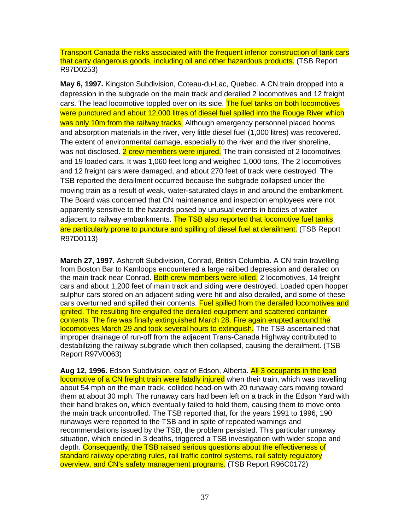Transport Canada the risks associated with the frequent inferior construction of tank cars that carry dangerous goods, including oil and other hazardous products. (TSB Report R97D0253)

**May 6, 1997.** Kingston Subdivision, Coteau-du-Lac, Quebec. A CN train dropped into a depression in the subgrade on the main track and derailed 2 locomotives and 12 freight cars. The lead locomotive toppled over on its side. The fuel tanks on both locomotives were punctured and about 12,000 litres of diesel fuel spilled into the Rouge River which was only 10m from the railway tracks. Although emergency personnel placed booms and absorption materials in the river, very little diesel fuel (1,000 litres) was recovered. The extent of environmental damage, especially to the river and the river shoreline, was not disclosed. 2 crew members were injured. The train consisted of 2 locomotives and 19 loaded cars. It was 1,060 feet long and weighed 1,000 tons. The 2 locomotives and 12 freight cars were damaged, and about 270 feet of track were destroyed. The TSB reported the derailment occurred because the subgrade collapsed under the moving train as a result of weak, water-saturated clays in and around the embankment. The Board was concerned that CN maintenance and inspection employees were not apparently sensitive to the hazards posed by unusual events in bodies of water adjacent to railway embankments. The TSB also reported that locomotive fuel tanks are particularly prone to puncture and spilling of diesel fuel at derailment. (TSB Report R97D0113)

**March 27, 1997.** Ashcroft Subdivision, Conrad, British Columbia. A CN train travelling from Boston Bar to Kamloops encountered a large railbed depression and derailed on the main track near Conrad. Both crew members were killed. 2 locomotives, 14 freight cars and about 1,200 feet of main track and siding were destroyed. Loaded open hopper sulphur cars stored on an adjacent siding were hit and also derailed, and some of these cars overturned and spilled their contents. Fuel spilled from the derailed locomotives and ignited. The resulting fire engulfed the derailed equipment and scattered container contents. The fire was finally extinguished March 28. Fire again erupted around the locomotives March 29 and took several hours to extinguish. The TSB ascertained that improper drainage of run-off from the adjacent Trans-Canada Highway contributed to destabilizing the railway subgrade which then collapsed, causing the derailment. (TSB Report R97V0063)

**Aug 12, 1996.** Edson Subdivision, east of Edson, Alberta. All 3 occupants in the lead locomotive of a CN freight train were fatally injured when their train, which was travelling about 54 mph on the main track, collided head-on with 20 runaway cars moving toward them at about 30 mph. The runaway cars had been left on a track in the Edson Yard with their hand brakes on, which eventually failed to hold them, causing them to move onto the main track uncontrolled. The TSB reported that, for the years 1991 to 1996, 190 runaways were reported to the TSB and in spite of repeated warnings and recommendations issued by the TSB, the problem persisted. This particular runaway situation, which ended in 3 deaths, triggered a TSB investigation with wider scope and depth. Consequently, the TSB raised serious questions about the effectiveness of standard railway operating rules, rail traffic control systems, rail safety regulatory overview, and CN's safety management programs. (TSB Report R96C0172)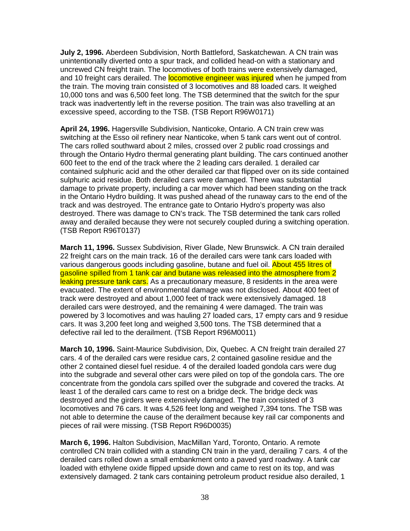**July 2, 1996.** Aberdeen Subdivision, North Battleford, Saskatchewan. A CN train was unintentionally diverted onto a spur track, and collided head-on with a stationary and uncrewed CN freight train. The locomotives of both trains were extensively damaged, and 10 freight cars derailed. The **locomotive engineer was injured** when he jumped from the train. The moving train consisted of 3 locomotives and 88 loaded cars. It weighed 10,000 tons and was 6,500 feet long. The TSB determined that the switch for the spur track was inadvertently left in the reverse position. The train was also travelling at an excessive speed, according to the TSB. (TSB Report R96W0171)

**April 24, 1996.** Hagersville Subdivision, Nanticoke, Ontario. A CN train crew was switching at the Esso oil refinery near Nanticoke, when 5 tank cars went out of control. The cars rolled southward about 2 miles, crossed over 2 public road crossings and through the Ontario Hydro thermal generating plant building. The cars continued another 600 feet to the end of the track where the 2 leading cars derailed. 1 derailed car contained sulphuric acid and the other derailed car that flipped over on its side contained sulphuric acid residue. Both derailed cars were damaged. There was substantial damage to private property, including a car mover which had been standing on the track in the Ontario Hydro building. It was pushed ahead of the runaway cars to the end of the track and was destroyed. The entrance gate to Ontario Hydro's property was also destroyed. There was damage to CN's track. The TSB determined the tank cars rolled away and derailed because they were not securely coupled during a switching operation. (TSB Report R96T0137)

**March 11, 1996.** Sussex Subdivision, River Glade, New Brunswick. A CN train derailed 22 freight cars on the main track. 16 of the derailed cars were tank cars loaded with various dangerous goods including gasoline, butane and fuel oil. About 455 litres of gasoline spilled from 1 tank car and butane was released into the atmosphere from 2 leaking pressure tank cars. As a precautionary measure, 8 residents in the area were evacuated. The extent of environmental damage was not disclosed. About 400 feet of track were destroyed and about 1,000 feet of track were extensively damaged. 18 derailed cars were destroyed, and the remaining 4 were damaged. The train was powered by 3 locomotives and was hauling 27 loaded cars, 17 empty cars and 9 residue cars. It was 3,200 feet long and weighed 3,500 tons. The TSB determined that a defective rail led to the derailment. (TSB Report R96M0011)

**March 10, 1996.** Saint-Maurice Subdivision, Dix, Quebec. A CN freight train derailed 27 cars. 4 of the derailed cars were residue cars, 2 contained gasoline residue and the other 2 contained diesel fuel residue. 4 of the derailed loaded gondola cars were dug into the subgrade and several other cars were piled on top of the gondola cars. The ore concentrate from the gondola cars spilled over the subgrade and covered the tracks. At least 1 of the derailed cars came to rest on a bridge deck. The bridge deck was destroyed and the girders were extensively damaged. The train consisted of 3 locomotives and 76 cars. It was 4,526 feet long and weighed 7,394 tons. The TSB was not able to determine the cause of the derailment because key rail car components and pieces of rail were missing. (TSB Report R96D0035)

**March 6, 1996.** Halton Subdivision, MacMillan Yard, Toronto, Ontario. A remote controlled CN train collided with a standing CN train in the yard, derailing 7 cars. 4 of the derailed cars rolled down a small embankment onto a paved yard roadway. A tank car loaded with ethylene oxide flipped upside down and came to rest on its top, and was extensively damaged. 2 tank cars containing petroleum product residue also derailed, 1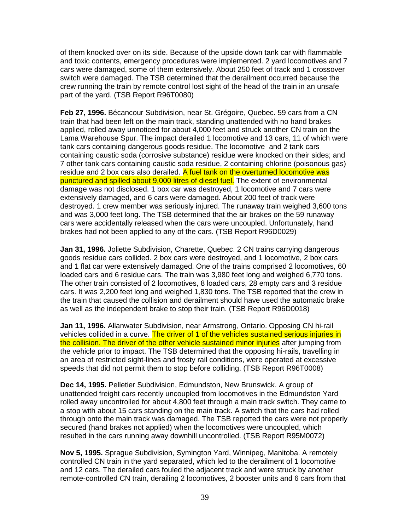of them knocked over on its side. Because of the upside down tank car with flammable and toxic contents, emergency procedures were implemented. 2 yard locomotives and 7 cars were damaged, some of them extensively. About 250 feet of track and 1 crossover switch were damaged. The TSB determined that the derailment occurred because the crew running the train by remote control lost sight of the head of the train in an unsafe part of the yard. (TSB Report R96T0080)

**Feb 27, 1996.** Bécancour Subdivision, near St. Grégoire, Quebec. 59 cars from a CN train that had been left on the main track, standing unattended with no hand brakes applied, rolled away unnoticed for about 4,000 feet and struck another CN train on the Lama Warehouse Spur. The impact derailed 1 locomotive and 13 cars, 11 of which were tank cars containing dangerous goods residue. The locomotive and 2 tank cars containing caustic soda (corrosive substance) residue were knocked on their sides; and 7 other tank cars containing caustic soda residue, 2 containing chlorine (poisonous gas) residue and 2 box cars also derailed. A fuel tank on the overturned locomotive was punctured and spilled about 9,000 litres of diesel fuel. The extent of environmental damage was not disclosed. 1 box car was destroyed, 1 locomotive and 7 cars were extensively damaged, and 6 cars were damaged. About 200 feet of track were destroyed. 1 crew member was seriously injured. The runaway train weighed 3,600 tons and was 3,000 feet long. The TSB determined that the air brakes on the 59 runaway cars were accidentally released when the cars were uncoupled. Unfortunately, hand brakes had not been applied to any of the cars. (TSB Report R96D0029)

**Jan 31, 1996.** Joliette Subdivision, Charette, Quebec. 2 CN trains carrying dangerous goods residue cars collided. 2 box cars were destroyed, and 1 locomotive, 2 box cars and 1 flat car were extensively damaged. One of the trains comprised 2 locomotives, 60 loaded cars and 6 residue cars. The train was 3,980 feet long and weighed 6,770 tons. The other train consisted of 2 locomotives, 8 loaded cars, 28 empty cars and 3 residue cars. It was 2,200 feet long and weighed 1,830 tons. The TSB reported that the crew in the train that caused the collision and derailment should have used the automatic brake as well as the independent brake to stop their train. (TSB Report R96D0018)

**Jan 11, 1996.** Allanwater Subdivision, near Armstrong, Ontario. Opposing CN hi-rail vehicles collided in a curve. The driver of 1 of the vehicles sustained serious injuries in the collision. The driver of the other vehicle sustained minor injuries after jumping from the vehicle prior to impact. The TSB determined that the opposing hi-rails, travelling in an area of restricted sight-lines and frosty rail conditions, were operated at excessive speeds that did not permit them to stop before colliding. (TSB Report R96T0008)

**Dec 14, 1995.** Pelletier Subdivision, Edmundston, New Brunswick. A group of unattended freight cars recently uncoupled from locomotives in the Edmundston Yard rolled away uncontrolled for about 4,800 feet through a main track switch. They came to a stop with about 15 cars standing on the main track. A switch that the cars had rolled through onto the main track was damaged. The TSB reported the cars were not properly secured (hand brakes not applied) when the locomotives were uncoupled, which resulted in the cars running away downhill uncontrolled. (TSB Report R95M0072)

**Nov 5, 1995.** Sprague Subdivision, Symington Yard, Winnipeg, Manitoba. A remotely controlled CN train in the yard separated, which led to the derailment of 1 locomotive and 12 cars. The derailed cars fouled the adjacent track and were struck by another remote-controlled CN train, derailing 2 locomotives, 2 booster units and 6 cars from that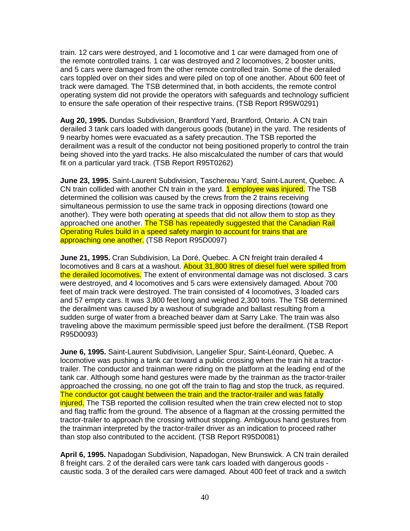train. 12 cars were destroyed, and 1 locomotive and 1 car were damaged from one of the remote controlled trains. 1 car was destroyed and 2 locomotives, 2 booster units, and 5 cars were damaged from the other remote controlled train. Some of the derailed cars toppled over on their sides and were piled on top of one another. About 600 feet of track were damaged. The TSB determined that, in both accidents, the remote control operating system did not provide the operators with safeguards and technology sufficient to ensure the safe operation of their respective trains. (TSB Report R95W0291)

**Aug 20, 1995.** Dundas Subdivision, Brantford Yard, Brantford, Ontario. A CN train derailed 3 tank cars loaded with dangerous goods (butane) in the yard. The residents of 9 nearby homes were evacuated as a safety precaution. The TSB reported the derailment was a result of the conductor not being positioned properly to control the train being shoved into the yard tracks. He also miscalculated the number of cars that would fit on a particular yard track. (TSB Report R95T0262)

**June 23, 1995.** Saint-Laurent Subdivision, Taschereau Yard, Saint-Laurent, Quebec. A CN train collided with another CN train in the yard. 1 employee was injured. The TSB determined the collision was caused by the crews from the 2 trains receiving simultaneous permission to use the same track in opposing directions (toward one another). They were both operating at speeds that did not allow them to stop as they approached one another. The TSB has repeatedly suggested that the Canadian Rail Operating Rules build in a speed safety margin to account for trains that are approaching one another. (TSB Report R95D0097)

**June 21, 1995.** Cran Subdivision, La Doré, Quebec. A CN freight train derailed 4 locomotives and 8 cars at a washout. About 31,800 litres of diesel fuel were spilled from the derailed locomotives. The extent of environmental damage was not disclosed. 3 cars were destroyed, and 4 locomotives and 5 cars were extensively damaged. About 700 feet of main track were destroyed. The train consisted of 4 locomotives, 3 loaded cars and 57 empty cars. It was 3,800 feet long and weighed 2,300 tons. The TSB determined the derailment was caused by a washout of subgrade and ballast resulting from a sudden surge of water from a breached beaver dam at Sarry Lake. The train was also traveling above the maximum permissible speed just before the derailment. (TSB Report R95D0093)

**June 6, 1995.** Saint-Laurent Subdivision, Langelier Spur, Saint-Léonard, Quebec. A locomotive was pushing a tank car toward a public crossing when the train hit a tractortrailer. The conductor and trainman were riding on the platform at the leading end of the tank car. Although some hand gestures were made by the trainman as the tractor-trailer approached the crossing, no one got off the train to flag and stop the truck, as required. The conductor got caught between the train and the tractor-trailer and was fatally injured. The TSB reported the collision resulted when the train crew elected not to stop and flag traffic from the ground. The absence of a flagman at the crossing permitted the tractor-trailer to approach the crossing without stopping. Ambiguous hand gestures from the trainman interpreted by the tractor-trailer driver as an indication to proceed rather than stop also contributed to the accident. (TSB Report R95D0081)

**April 6, 1995.** Napadogan Subdivision, Napadogan, New Brunswick. A CN train derailed 8 freight cars. 2 of the derailed cars were tank cars loaded with dangerous goods caustic soda. 3 of the derailed cars were damaged. About 400 feet of track and a switch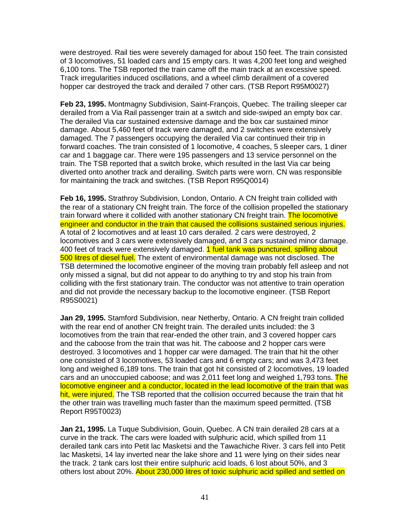were destroyed. Rail ties were severely damaged for about 150 feet. The train consisted of 3 locomotives, 51 loaded cars and 15 empty cars. It was 4,200 feet long and weighed 6,100 tons. The TSB reported the train came off the main track at an excessive speed. Track irregularities induced oscillations, and a wheel climb derailment of a covered hopper car destroyed the track and derailed 7 other cars. (TSB Report R95M0027)

**Feb 23, 1995.** Montmagny Subdivision, Saint-François, Quebec. The trailing sleeper car derailed from a Via Rail passenger train at a switch and side-swiped an empty box car. The derailed Via car sustained extensive damage and the box car sustained minor damage. About 5,460 feet of track were damaged, and 2 switches were extensively damaged. The 7 passengers occupying the derailed Via car continued their trip in forward coaches. The train consisted of 1 locomotive, 4 coaches, 5 sleeper cars, 1 diner car and 1 baggage car. There were 195 passengers and 13 service personnel on the train. The TSB reported that a switch broke, which resulted in the last Via car being diverted onto another track and derailing. Switch parts were worn. CN was responsible for maintaining the track and switches. (TSB Report R95Q0014)

**Feb 16, 1995.** Strathroy Subdivision, London, Ontario. A CN freight train collided with the rear of a stationary CN freight train. The force of the collision propelled the stationary train forward where it collided with another stationary CN freight train. The locomotive engineer and conductor in the train that caused the collisions sustained serious injuries. A total of 2 locomotives and at least 10 cars derailed. 2 cars were destroyed, 2 locomotives and 3 cars were extensively damaged, and 3 cars sustained minor damage. 400 feet of track were extensively damaged. 1 fuel tank was punctured, spilling about 500 litres of diesel fuel. The extent of environmental damage was not disclosed. The TSB determined the locomotive engineer of the moving train probably fell asleep and not only missed a signal, but did not appear to do anything to try and stop his train from colliding with the first stationary train. The conductor was not attentive to train operation and did not provide the necessary backup to the locomotive engineer. (TSB Report R95S0021)

**Jan 29, 1995.** Stamford Subdivision, near Netherby, Ontario. A CN freight train collided with the rear end of another CN freight train. The derailed units included: the 3 locomotives from the train that rear-ended the other train, and 3 covered hopper cars and the caboose from the train that was hit. The caboose and 2 hopper cars were destroyed. 3 locomotives and 1 hopper car were damaged. The train that hit the other one consisted of 3 locomotives, 53 loaded cars and 6 empty cars; and was 3,473 feet long and weighed 6,189 tons. The train that got hit consisted of 2 locomotives, 19 loaded cars and an unoccupied caboose; and was 2,011 feet long and weighed 1,793 tons. The locomotive engineer and a conductor, located in the lead locomotive of the train that was hit, were injured. The TSB reported that the collision occurred because the train that hit the other train was travelling much faster than the maximum speed permitted. (TSB Report R95T0023)

**Jan 21, 1995.** La Tuque Subdivision, Gouin, Quebec. A CN train derailed 28 cars at a curve in the track. The cars were loaded with sulphuric acid, which spilled from 11 derailed tank cars into Petit lac Masketsi and the Tawachiche River. 3 cars fell into Petit lac Masketsi, 14 lay inverted near the lake shore and 11 were lying on their sides near the track. 2 tank cars lost their entire sulphuric acid loads, 6 lost about 50%, and 3 others lost about 20%. About 230,000 litres of toxic sulphuric acid spilled and settled on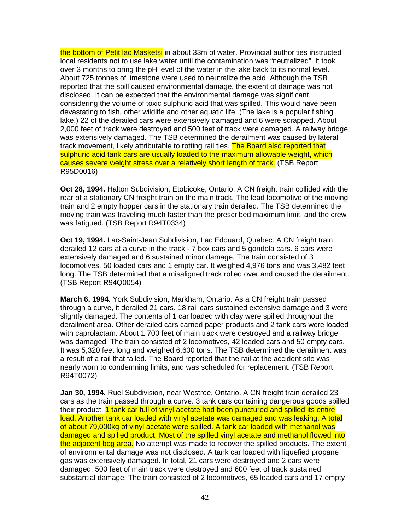the bottom of Petit lac Masketsi in about 33m of water. Provincial authorities instructed local residents not to use lake water until the contamination was "neutralized". It took over 3 months to bring the pH level of the water in the lake back to its normal level. About 725 tonnes of limestone were used to neutralize the acid. Although the TSB reported that the spill caused environmental damage, the extent of damage was not disclosed. It can be expected that the environmental damage was significant, considering the volume of toxic sulphuric acid that was spilled. This would have been devastating to fish, other wildlife and other aquatic life. (The lake is a popular fishing lake.) 22 of the derailed cars were extensively damaged and 6 were scrapped. About 2,000 feet of track were destroyed and 500 feet of track were damaged. A railway bridge was extensively damaged. The TSB determined the derailment was caused by lateral track movement, likely attributable to rotting rail ties. The Board also reported that sulphuric acid tank cars are usually loaded to the maximum allowable weight, which causes severe weight stress over a relatively short length of track. (TSB Report R95D0016)

**Oct 28, 1994.** Halton Subdivision, Etobicoke, Ontario. A CN freight train collided with the rear of a stationary CN freight train on the main track. The lead locomotive of the moving train and 2 empty hopper cars in the stationary train derailed. The TSB determined the moving train was traveling much faster than the prescribed maximum limit, and the crew was fatigued. (TSB Report R94T0334)

**Oct 19, 1994.** Lac-Saint-Jean Subdivision, Lac Edouard, Quebec. A CN freight train derailed 12 cars at a curve in the track - 7 box cars and 5 gondola cars. 6 cars were extensively damaged and 6 sustained minor damage. The train consisted of 3 locomotives, 50 loaded cars and 1 empty car. It weighed 4,976 tons and was 3,482 feet long. The TSB determined that a misaligned track rolled over and caused the derailment. (TSB Report R94Q0054)

**March 6, 1994.** York Subdivision, Markham, Ontario. As a CN freight train passed through a curve, it derailed 21 cars. 18 rail cars sustained extensive damage and 3 were slightly damaged. The contents of 1 car loaded with clay were spilled throughout the derailment area. Other derailed cars carried paper products and 2 tank cars were loaded with caprolactam. About 1,700 feet of main track were destroyed and a railway bridge was damaged. The train consisted of 2 locomotives, 42 loaded cars and 50 empty cars. It was 5,320 feet long and weighed 6,600 tons. The TSB determined the derailment was a result of a rail that failed. The Board reported that the rail at the accident site was nearly worn to condemning limits, and was scheduled for replacement. (TSB Report R94T0072)

**Jan 30, 1994.** Ruel Subdivision, near Westree, Ontario. A CN freight train derailed 23 cars as the train passed through a curve. 3 tank cars containing dangerous goods spilled their product. *1 tank car full of vinyl acetate had been punctured and spilled its entire* load. Another tank car loaded with vinyl acetate was damaged and was leaking. A total of about 79,000kg of vinyl acetate were spilled. A tank car loaded with methanol was damaged and spilled product. Most of the spilled vinyl acetate and methanol flowed into the adjacent bog area. No attempt was made to recover the spilled products. The extent of environmental damage was not disclosed. A tank car loaded with liquefied propane gas was extensively damaged. In total, 21 cars were destroyed and 2 cars were damaged. 500 feet of main track were destroyed and 600 feet of track sustained substantial damage. The train consisted of 2 locomotives, 65 loaded cars and 17 empty